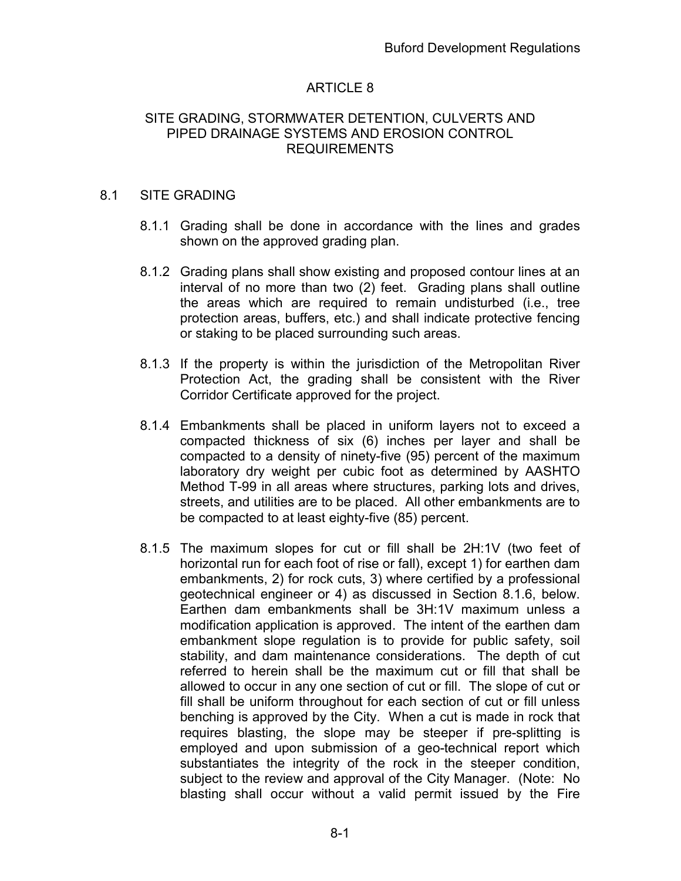## ARTICLE 8

#### SITE GRADING, STORMWATER DETENTION, CULVERTS AND PIPED DRAINAGE SYSTEMS AND EROSION CONTROL REQUIREMENTS

#### 8.1 SITE GRADING

- 8.1.1 Grading shall be done in accordance with the lines and grades shown on the approved grading plan.
- 8.1.2 Grading plans shall show existing and proposed contour lines at an interval of no more than two (2) feet. Grading plans shall outline the areas which are required to remain undisturbed (i.e., tree protection areas, buffers, etc.) and shall indicate protective fencing or staking to be placed surrounding such areas.
- 8.1.3 If the property is within the jurisdiction of the Metropolitan River Protection Act, the grading shall be consistent with the River Corridor Certificate approved for the project.
- 8.1.4 Embankments shall be placed in uniform layers not to exceed a compacted thickness of six (6) inches per layer and shall be compacted to a density of ninety-five (95) percent of the maximum laboratory dry weight per cubic foot as determined by AASHTO Method T-99 in all areas where structures, parking lots and drives, streets, and utilities are to be placed. All other embankments are to be compacted to at least eighty-five (85) percent.
- 8.1.5 The maximum slopes for cut or fill shall be 2H:1V (two feet of horizontal run for each foot of rise or fall), except 1) for earthen dam embankments, 2) for rock cuts, 3) where certified by a professional geotechnical engineer or 4) as discussed in Section 8.1.6, below. Earthen dam embankments shall be 3H:1V maximum unless a modification application is approved. The intent of the earthen dam embankment slope regulation is to provide for public safety, soil stability, and dam maintenance considerations. The depth of cut referred to herein shall be the maximum cut or fill that shall be allowed to occur in any one section of cut or fill. The slope of cut or fill shall be uniform throughout for each section of cut or fill unless benching is approved by the City. When a cut is made in rock that requires blasting, the slope may be steeper if pre-splitting is employed and upon submission of a geo-technical report which substantiates the integrity of the rock in the steeper condition, subject to the review and approval of the City Manager. (Note: No blasting shall occur without a valid permit issued by the Fire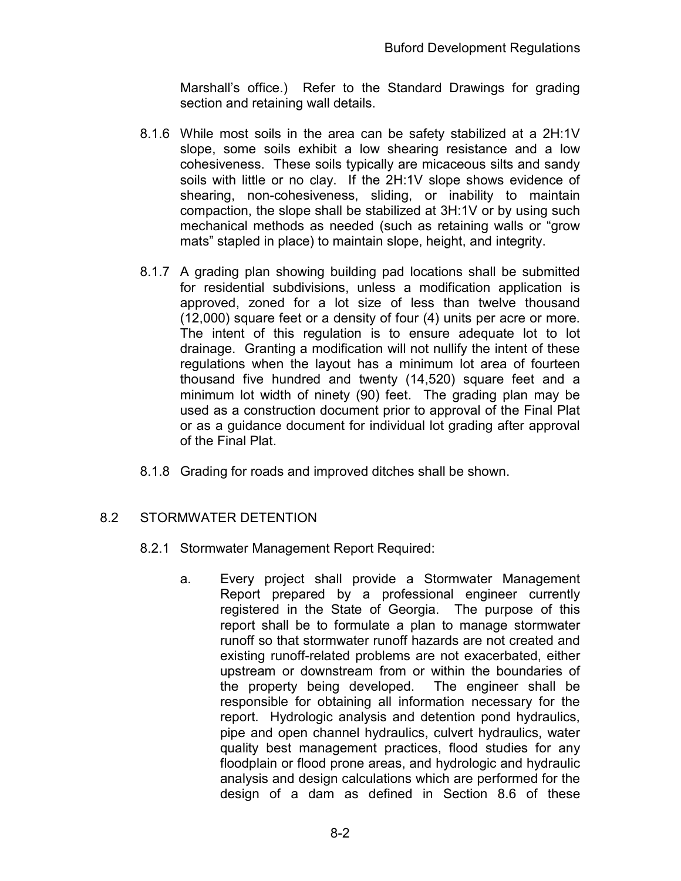Marshall's office.) Refer to the Standard Drawings for grading section and retaining wall details.

- 8.1.6 While most soils in the area can be safety stabilized at a 2H:1V slope, some soils exhibit a low shearing resistance and a low cohesiveness. These soils typically are micaceous silts and sandy soils with little or no clay. If the 2H:1V slope shows evidence of shearing, non-cohesiveness, sliding, or inability to maintain compaction, the slope shall be stabilized at 3H:1V or by using such mechanical methods as needed (such as retaining walls or "grow mats" stapled in place) to maintain slope, height, and integrity.
- 8.1.7 A grading plan showing building pad locations shall be submitted for residential subdivisions, unless a modification application is approved, zoned for a lot size of less than twelve thousand (12,000) square feet or a density of four (4) units per acre or more. The intent of this regulation is to ensure adequate lot to lot drainage. Granting a modification will not nullify the intent of these regulations when the layout has a minimum lot area of fourteen thousand five hundred and twenty (14,520) square feet and a minimum lot width of ninety (90) feet. The grading plan may be used as a construction document prior to approval of the Final Plat or as a guidance document for individual lot grading after approval of the Final Plat.
- 8.1.8 Grading for roads and improved ditches shall be shown.

## 8.2 STORMWATER DETENTION

- 8.2.1 Stormwater Management Report Required:
	- a. Every project shall provide a Stormwater Management Report prepared by a professional engineer currently registered in the State of Georgia. The purpose of this report shall be to formulate a plan to manage stormwater runoff so that stormwater runoff hazards are not created and existing runoff-related problems are not exacerbated, either upstream or downstream from or within the boundaries of the property being developed. The engineer shall be responsible for obtaining all information necessary for the report. Hydrologic analysis and detention pond hydraulics, pipe and open channel hydraulics, culvert hydraulics, water quality best management practices, flood studies for any floodplain or flood prone areas, and hydrologic and hydraulic analysis and design calculations which are performed for the design of a dam as defined in Section 8.6 of these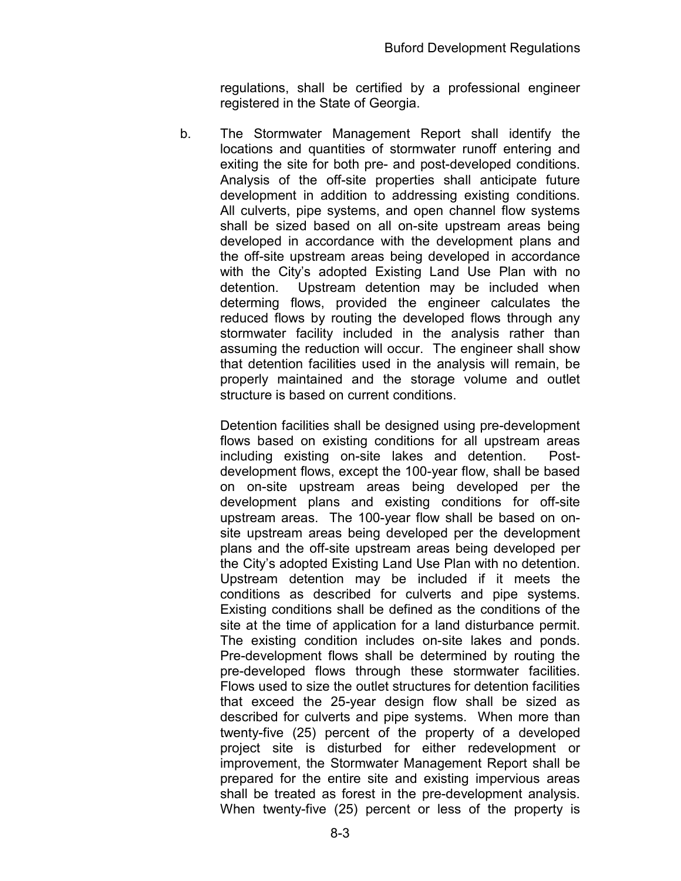regulations, shall be certified by a professional engineer registered in the State of Georgia.

b. The Stormwater Management Report shall identify the locations and quantities of stormwater runoff entering and exiting the site for both pre- and post-developed conditions. Analysis of the off-site properties shall anticipate future development in addition to addressing existing conditions. All culverts, pipe systems, and open channel flow systems shall be sized based on all on-site upstream areas being developed in accordance with the development plans and the off-site upstream areas being developed in accordance with the City's adopted Existing Land Use Plan with no detention. Upstream detention may be included when determing flows, provided the engineer calculates the reduced flows by routing the developed flows through any stormwater facility included in the analysis rather than assuming the reduction will occur. The engineer shall show that detention facilities used in the analysis will remain, be properly maintained and the storage volume and outlet structure is based on current conditions.

Detention facilities shall be designed using pre-development flows based on existing conditions for all upstream areas including existing on-site lakes and detention. Postdevelopment flows, except the 100-year flow, shall be based on on-site upstream areas being developed per the development plans and existing conditions for off-site upstream areas. The 100-year flow shall be based on onsite upstream areas being developed per the development plans and the off-site upstream areas being developed per the City's adopted Existing Land Use Plan with no detention. Upstream detention may be included if it meets the conditions as described for culverts and pipe systems. Existing conditions shall be defined as the conditions of the site at the time of application for a land disturbance permit. The existing condition includes on-site lakes and ponds. Pre-development flows shall be determined by routing the pre-developed flows through these stormwater facilities. Flows used to size the outlet structures for detention facilities that exceed the 25-year design flow shall be sized as described for culverts and pipe systems. When more than twenty-five (25) percent of the property of a developed project site is disturbed for either redevelopment or improvement, the Stormwater Management Report shall be prepared for the entire site and existing impervious areas shall be treated as forest in the pre-development analysis. When twenty-five (25) percent or less of the property is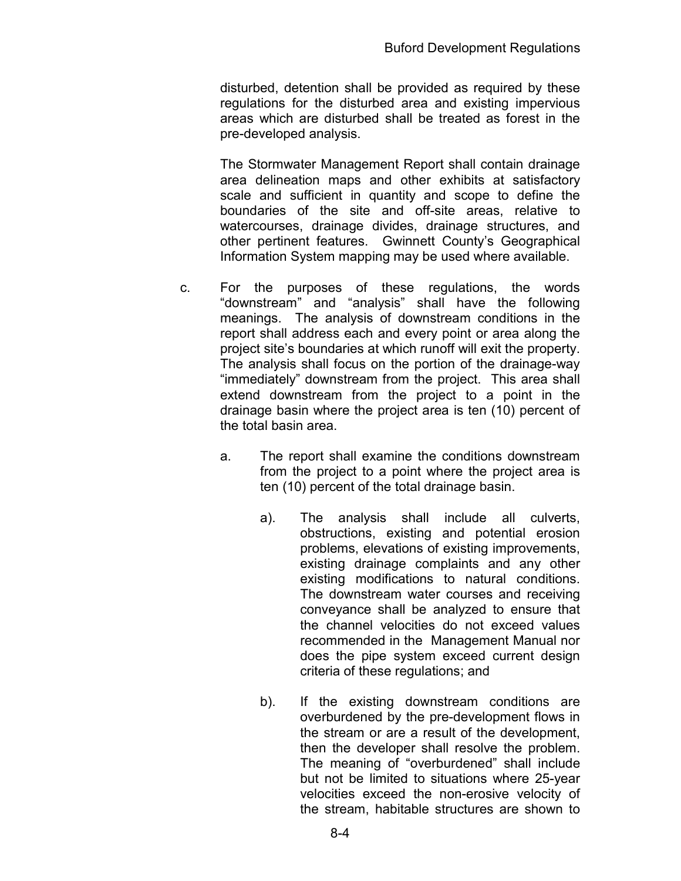disturbed, detention shall be provided as required by these regulations for the disturbed area and existing impervious areas which are disturbed shall be treated as forest in the pre-developed analysis.

The Stormwater Management Report shall contain drainage area delineation maps and other exhibits at satisfactory scale and sufficient in quantity and scope to define the boundaries of the site and off-site areas, relative to watercourses, drainage divides, drainage structures, and other pertinent features. Gwinnett County's Geographical Information System mapping may be used where available.

- c. For the purposes of these regulations, the words "downstream" and "analysis" shall have the following meanings. The analysis of downstream conditions in the report shall address each and every point or area along the project site's boundaries at which runoff will exit the property. The analysis shall focus on the portion of the drainage-way "immediately" downstream from the project. This area shall extend downstream from the project to a point in the drainage basin where the project area is ten (10) percent of the total basin area.
	- a. The report shall examine the conditions downstream from the project to a point where the project area is ten (10) percent of the total drainage basin.
		- a). The analysis shall include all culverts, obstructions, existing and potential erosion problems, elevations of existing improvements, existing drainage complaints and any other existing modifications to natural conditions. The downstream water courses and receiving conveyance shall be analyzed to ensure that the channel velocities do not exceed values recommended in the Management Manual nor does the pipe system exceed current design criteria of these regulations; and
		- b). If the existing downstream conditions are overburdened by the pre-development flows in the stream or are a result of the development, then the developer shall resolve the problem. The meaning of "overburdened" shall include but not be limited to situations where 25-year velocities exceed the non-erosive velocity of the stream, habitable structures are shown to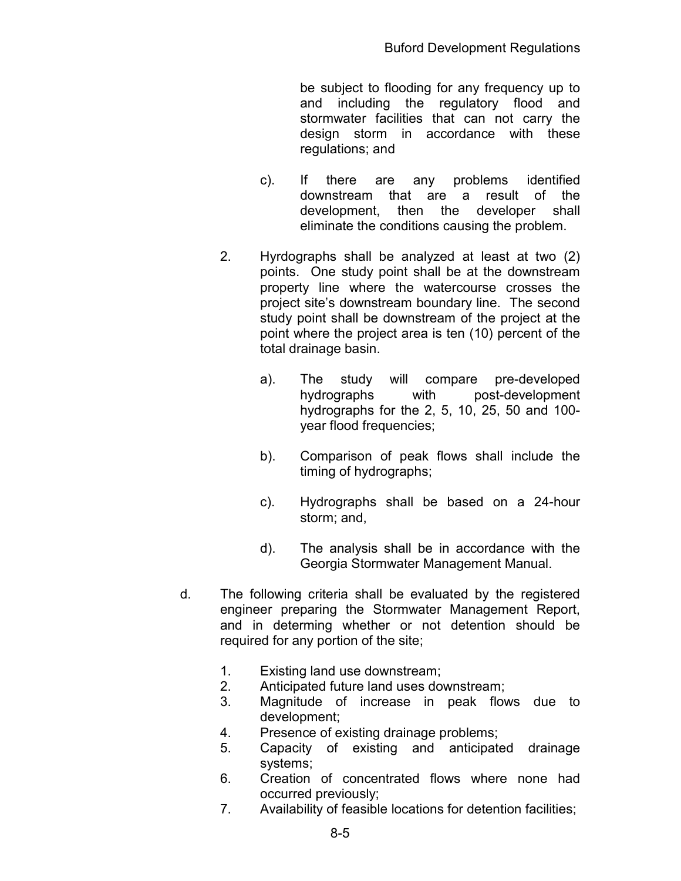be subject to flooding for any frequency up to and including the regulatory flood and stormwater facilities that can not carry the design storm in accordance with these regulations; and

- c). If there are any problems identified downstream that are a result of the development, then the developer shall eliminate the conditions causing the problem.
- 2. Hyrdographs shall be analyzed at least at two (2) points. One study point shall be at the downstream property line where the watercourse crosses the project site's downstream boundary line. The second study point shall be downstream of the project at the point where the project area is ten (10) percent of the total drainage basin.
	- a). The study will compare pre-developed hydrographs with post-development hydrographs for the 2, 5, 10, 25, 50 and 100 year flood frequencies;
	- b). Comparison of peak flows shall include the timing of hydrographs;
	- c). Hydrographs shall be based on a 24-hour storm; and,
	- d). The analysis shall be in accordance with the Georgia Stormwater Management Manual.
- d. The following criteria shall be evaluated by the registered engineer preparing the Stormwater Management Report, and in determing whether or not detention should be required for any portion of the site;
	- 1. Existing land use downstream;
	- 2. Anticipated future land uses downstream;
	- 3. Magnitude of increase in peak flows due to development;
	- 4. Presence of existing drainage problems;
	- 5. Capacity of existing and anticipated drainage systems;
	- 6. Creation of concentrated flows where none had occurred previously;
	- 7. Availability of feasible locations for detention facilities;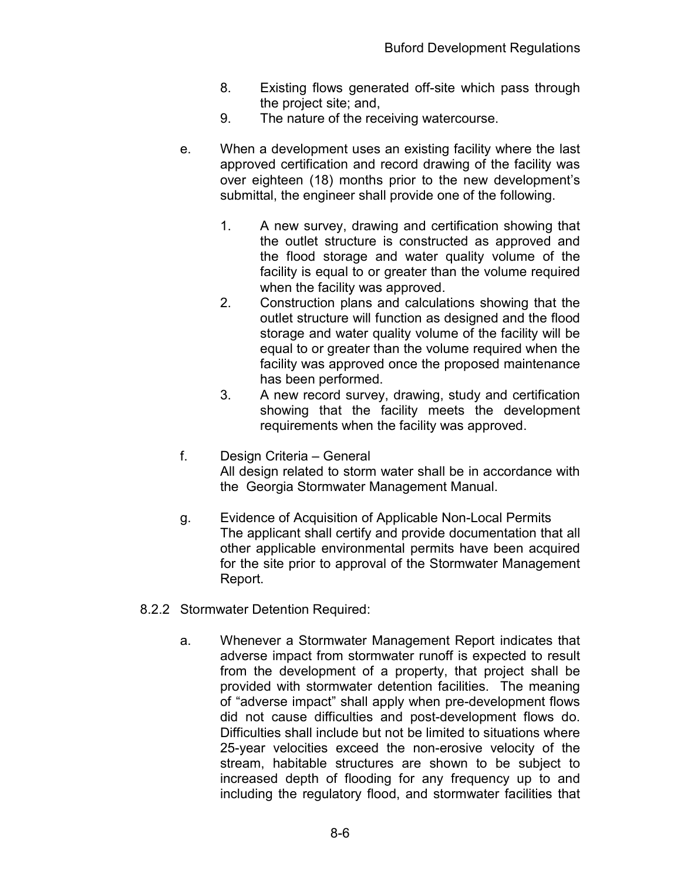- 8. Existing flows generated off-site which pass through the project site; and,
- 9. The nature of the receiving watercourse.
- e. When a development uses an existing facility where the last approved certification and record drawing of the facility was over eighteen (18) months prior to the new development's submittal, the engineer shall provide one of the following.
	- 1. A new survey, drawing and certification showing that the outlet structure is constructed as approved and the flood storage and water quality volume of the facility is equal to or greater than the volume required when the facility was approved.
	- 2. Construction plans and calculations showing that the outlet structure will function as designed and the flood storage and water quality volume of the facility will be equal to or greater than the volume required when the facility was approved once the proposed maintenance has been performed.
	- 3. A new record survey, drawing, study and certification showing that the facility meets the development requirements when the facility was approved.
- f. Design Criteria General All design related to storm water shall be in accordance with the Georgia Stormwater Management Manual.
- g. Evidence of Acquisition of Applicable Non-Local Permits The applicant shall certify and provide documentation that all other applicable environmental permits have been acquired for the site prior to approval of the Stormwater Management Report.
- 8.2.2 Stormwater Detention Required:
	- a. Whenever a Stormwater Management Report indicates that adverse impact from stormwater runoff is expected to result from the development of a property, that project shall be provided with stormwater detention facilities. The meaning of "adverse impact" shall apply when pre-development flows did not cause difficulties and post-development flows do. Difficulties shall include but not be limited to situations where 25-year velocities exceed the non-erosive velocity of the stream, habitable structures are shown to be subject to increased depth of flooding for any frequency up to and including the regulatory flood, and stormwater facilities that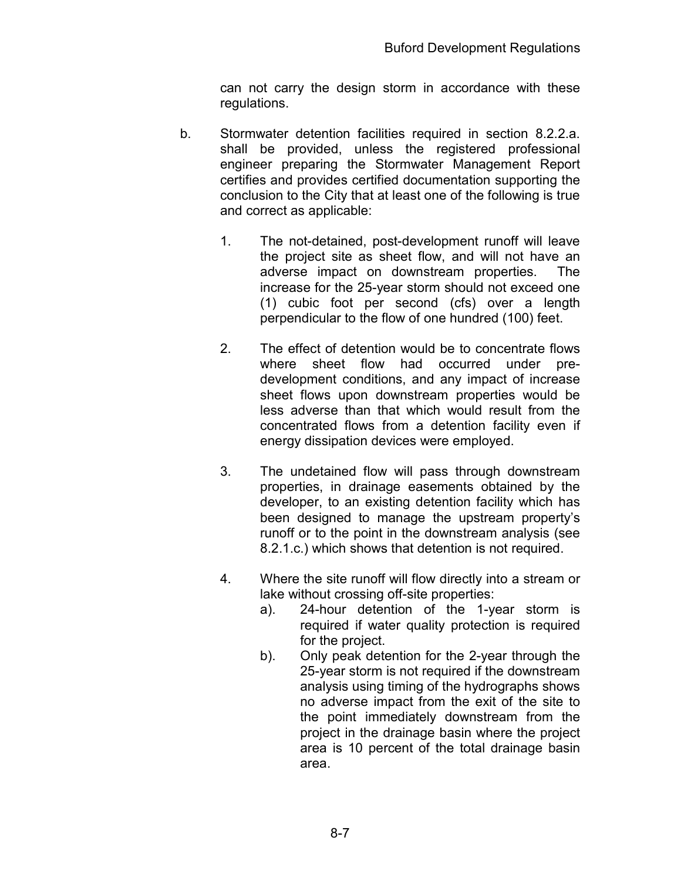can not carry the design storm in accordance with these regulations.

- b. Stormwater detention facilities required in section 8.2.2.a. shall be provided, unless the registered professional engineer preparing the Stormwater Management Report certifies and provides certified documentation supporting the conclusion to the City that at least one of the following is true and correct as applicable:
	- 1. The not-detained, post-development runoff will leave the project site as sheet flow, and will not have an adverse impact on downstream properties. The increase for the 25-year storm should not exceed one (1) cubic foot per second (cfs) over a length perpendicular to the flow of one hundred (100) feet.
	- 2. The effect of detention would be to concentrate flows where sheet flow had occurred under predevelopment conditions, and any impact of increase sheet flows upon downstream properties would be less adverse than that which would result from the concentrated flows from a detention facility even if energy dissipation devices were employed.
	- 3. The undetained flow will pass through downstream properties, in drainage easements obtained by the developer, to an existing detention facility which has been designed to manage the upstream property's runoff or to the point in the downstream analysis (see 8.2.1.c.) which shows that detention is not required.
	- 4. Where the site runoff will flow directly into a stream or lake without crossing off-site properties:
		- a). 24-hour detention of the 1-year storm is required if water quality protection is required for the project.
		- b). Only peak detention for the 2-year through the 25-year storm is not required if the downstream analysis using timing of the hydrographs shows no adverse impact from the exit of the site to the point immediately downstream from the project in the drainage basin where the project area is 10 percent of the total drainage basin area.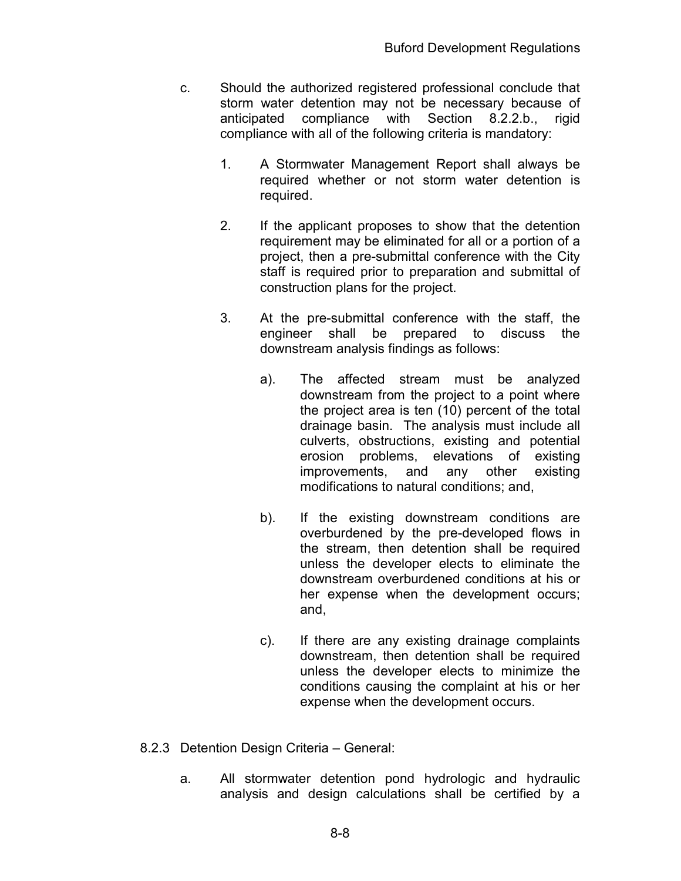- c. Should the authorized registered professional conclude that storm water detention may not be necessary because of anticipated compliance with Section 8.2.2.b., rigid compliance with all of the following criteria is mandatory:
	- 1. A Stormwater Management Report shall always be required whether or not storm water detention is required.
	- 2. If the applicant proposes to show that the detention requirement may be eliminated for all or a portion of a project, then a pre-submittal conference with the City staff is required prior to preparation and submittal of construction plans for the project.
	- 3. At the pre-submittal conference with the staff, the engineer shall be prepared to discuss the downstream analysis findings as follows:
		- a). The affected stream must be analyzed downstream from the project to a point where the project area is ten (10) percent of the total drainage basin. The analysis must include all culverts, obstructions, existing and potential erosion problems, elevations of existing improvements, and any other existing modifications to natural conditions; and,
		- b). If the existing downstream conditions are overburdened by the pre-developed flows in the stream, then detention shall be required unless the developer elects to eliminate the downstream overburdened conditions at his or her expense when the development occurs; and,
		- c). If there are any existing drainage complaints downstream, then detention shall be required unless the developer elects to minimize the conditions causing the complaint at his or her expense when the development occurs.
- 8.2.3 Detention Design Criteria General:
	- a. All stormwater detention pond hydrologic and hydraulic analysis and design calculations shall be certified by a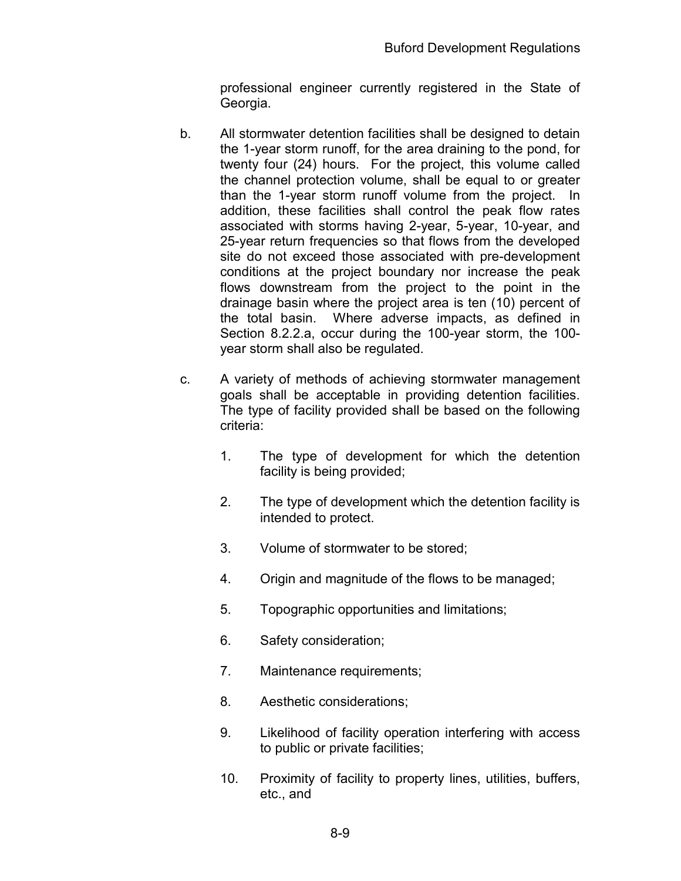professional engineer currently registered in the State of Georgia.

- b. All stormwater detention facilities shall be designed to detain the 1-year storm runoff, for the area draining to the pond, for twenty four (24) hours. For the project, this volume called the channel protection volume, shall be equal to or greater than the 1-year storm runoff volume from the project. In addition, these facilities shall control the peak flow rates associated with storms having 2-year, 5-year, 10-year, and 25-year return frequencies so that flows from the developed site do not exceed those associated with pre-development conditions at the project boundary nor increase the peak flows downstream from the project to the point in the drainage basin where the project area is ten (10) percent of the total basin. Where adverse impacts, as defined in Section 8.2.2.a, occur during the 100-year storm, the 100 year storm shall also be regulated.
- c. A variety of methods of achieving stormwater management goals shall be acceptable in providing detention facilities. The type of facility provided shall be based on the following criteria:
	- 1. The type of development for which the detention facility is being provided;
	- 2. The type of development which the detention facility is intended to protect.
	- 3. Volume of stormwater to be stored;
	- 4. Origin and magnitude of the flows to be managed;
	- 5. Topographic opportunities and limitations;
	- 6. Safety consideration;
	- 7. Maintenance requirements;
	- 8. Aesthetic considerations;
	- 9. Likelihood of facility operation interfering with access to public or private facilities;
	- 10. Proximity of facility to property lines, utilities, buffers, etc., and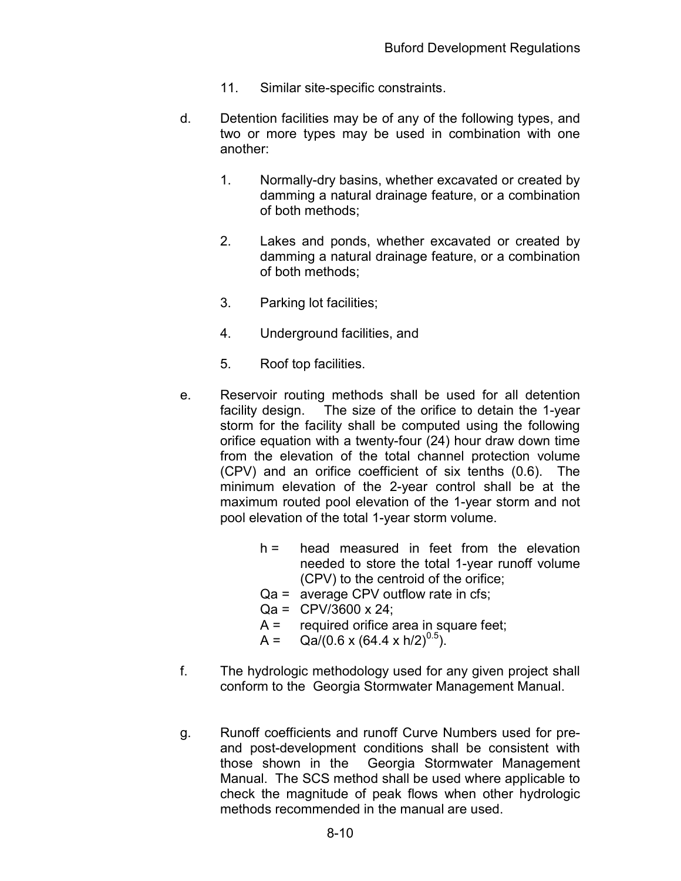- 11. Similar site-specific constraints.
- d. Detention facilities may be of any of the following types, and two or more types may be used in combination with one another:
	- 1. Normally-dry basins, whether excavated or created by damming a natural drainage feature, or a combination of both methods;
	- 2. Lakes and ponds, whether excavated or created by damming a natural drainage feature, or a combination of both methods;
	- 3. Parking lot facilities;
	- 4. Underground facilities, and
	- 5. Roof top facilities.
- e. Reservoir routing methods shall be used for all detention facility design. The size of the orifice to detain the 1-year storm for the facility shall be computed using the following orifice equation with a twenty-four (24) hour draw down time from the elevation of the total channel protection volume (CPV) and an orifice coefficient of six tenths (0.6). The minimum elevation of the 2-year control shall be at the maximum routed pool elevation of the 1-year storm and not pool elevation of the total 1-year storm volume.
	- h = head measured in feet from the elevation needed to store the total 1-year runoff volume (CPV) to the centroid of the orifice;
	- Qa = average CPV outflow rate in cfs;
	- $Qa = CPV/3600 \times 24;$
	- $A =$  required orifice area in square feet;
	- A = Qa/(0.6 x (64.4 x h/2)<sup>0.5</sup>).
- f. The hydrologic methodology used for any given project shall conform to the Georgia Stormwater Management Manual.
- g. Runoff coefficients and runoff Curve Numbers used for preand post-development conditions shall be consistent with those shown in the Georgia Stormwater Management Manual. The SCS method shall be used where applicable to check the magnitude of peak flows when other hydrologic methods recommended in the manual are used.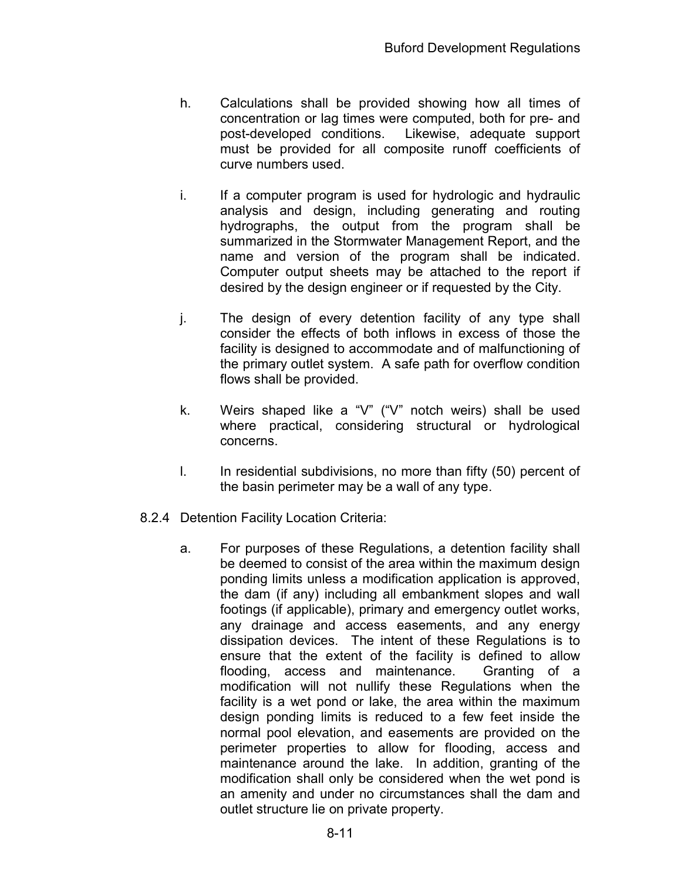- h. Calculations shall be provided showing how all times of concentration or lag times were computed, both for pre- and post-developed conditions. Likewise, adequate support must be provided for all composite runoff coefficients of curve numbers used.
- i. If a computer program is used for hydrologic and hydraulic analysis and design, including generating and routing hydrographs, the output from the program shall be summarized in the Stormwater Management Report, and the name and version of the program shall be indicated. Computer output sheets may be attached to the report if desired by the design engineer or if requested by the City.
- j. The design of every detention facility of any type shall consider the effects of both inflows in excess of those the facility is designed to accommodate and of malfunctioning of the primary outlet system. A safe path for overflow condition flows shall be provided.
- k. Weirs shaped like a "V" ("V" notch weirs) shall be used where practical, considering structural or hydrological concerns.
- l. In residential subdivisions, no more than fifty (50) percent of the basin perimeter may be a wall of any type.
- 8.2.4 Detention Facility Location Criteria:
	- a. For purposes of these Regulations, a detention facility shall be deemed to consist of the area within the maximum design ponding limits unless a modification application is approved, the dam (if any) including all embankment slopes and wall footings (if applicable), primary and emergency outlet works, any drainage and access easements, and any energy dissipation devices. The intent of these Regulations is to ensure that the extent of the facility is defined to allow flooding, access and maintenance. Granting of a modification will not nullify these Regulations when the facility is a wet pond or lake, the area within the maximum design ponding limits is reduced to a few feet inside the normal pool elevation, and easements are provided on the perimeter properties to allow for flooding, access and maintenance around the lake. In addition, granting of the modification shall only be considered when the wet pond is an amenity and under no circumstances shall the dam and outlet structure lie on private property.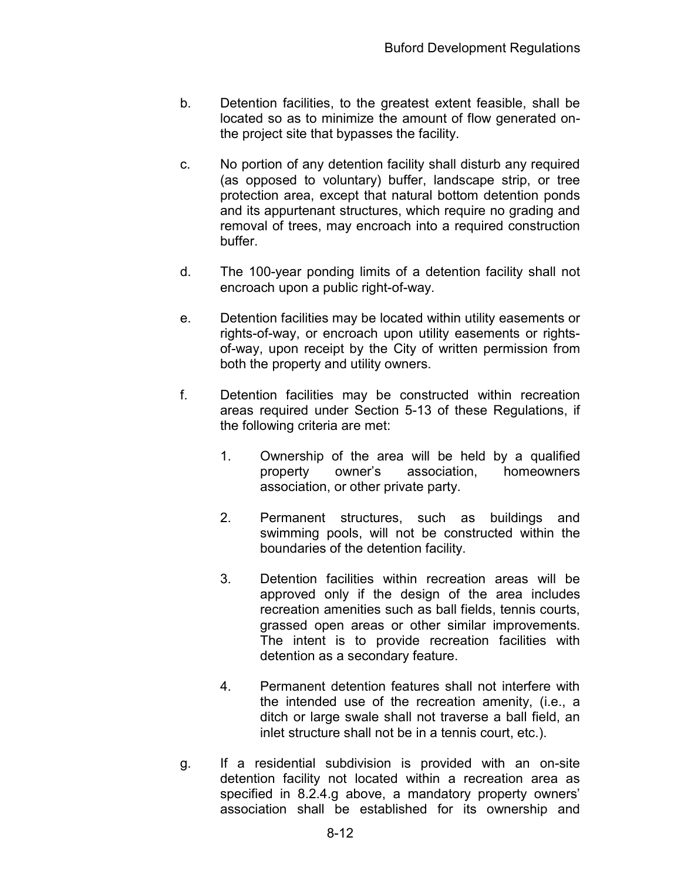- b. Detention facilities, to the greatest extent feasible, shall be located so as to minimize the amount of flow generated onthe project site that bypasses the facility.
- c. No portion of any detention facility shall disturb any required (as opposed to voluntary) buffer, landscape strip, or tree protection area, except that natural bottom detention ponds and its appurtenant structures, which require no grading and removal of trees, may encroach into a required construction buffer.
- d. The 100-year ponding limits of a detention facility shall not encroach upon a public right-of-way.
- e. Detention facilities may be located within utility easements or rights-of-way, or encroach upon utility easements or rightsof-way, upon receipt by the City of written permission from both the property and utility owners.
- f. Detention facilities may be constructed within recreation areas required under Section 5-13 of these Regulations, if the following criteria are met:
	- 1. Ownership of the area will be held by a qualified property owner's association, homeowners association, or other private party.
	- 2. Permanent structures, such as buildings and swimming pools, will not be constructed within the boundaries of the detention facility.
	- 3. Detention facilities within recreation areas will be approved only if the design of the area includes recreation amenities such as ball fields, tennis courts, grassed open areas or other similar improvements. The intent is to provide recreation facilities with detention as a secondary feature.
	- 4. Permanent detention features shall not interfere with the intended use of the recreation amenity, (i.e., a ditch or large swale shall not traverse a ball field, an inlet structure shall not be in a tennis court, etc.).
- g. If a residential subdivision is provided with an on-site detention facility not located within a recreation area as specified in 8.2.4.g above, a mandatory property owners' association shall be established for its ownership and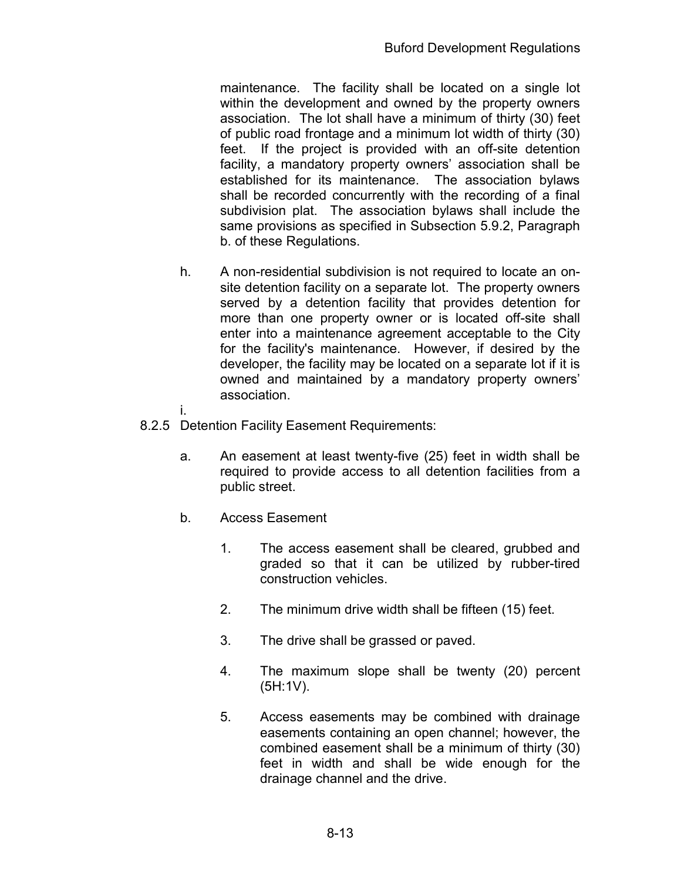maintenance. The facility shall be located on a single lot within the development and owned by the property owners association. The lot shall have a minimum of thirty (30) feet of public road frontage and a minimum lot width of thirty (30) feet. If the project is provided with an off-site detention facility, a mandatory property owners' association shall be established for its maintenance. The association bylaws shall be recorded concurrently with the recording of a final subdivision plat. The association bylaws shall include the same provisions as specified in Subsection 5.9.2, Paragraph b. of these Regulations.

- h. A non-residential subdivision is not required to locate an onsite detention facility on a separate lot. The property owners served by a detention facility that provides detention for more than one property owner or is located off-site shall enter into a maintenance agreement acceptable to the City for the facility's maintenance. However, if desired by the developer, the facility may be located on a separate lot if it is owned and maintained by a mandatory property owners' association.
- i.
- 8.2.5 Detention Facility Easement Requirements:
	- a. An easement at least twenty-five (25) feet in width shall be required to provide access to all detention facilities from a public street.
	- b. Access Easement
		- 1. The access easement shall be cleared, grubbed and graded so that it can be utilized by rubber-tired construction vehicles.
		- 2. The minimum drive width shall be fifteen (15) feet.
		- 3. The drive shall be grassed or paved.
		- 4. The maximum slope shall be twenty (20) percent (5H:1V).
		- 5. Access easements may be combined with drainage easements containing an open channel; however, the combined easement shall be a minimum of thirty (30) feet in width and shall be wide enough for the drainage channel and the drive.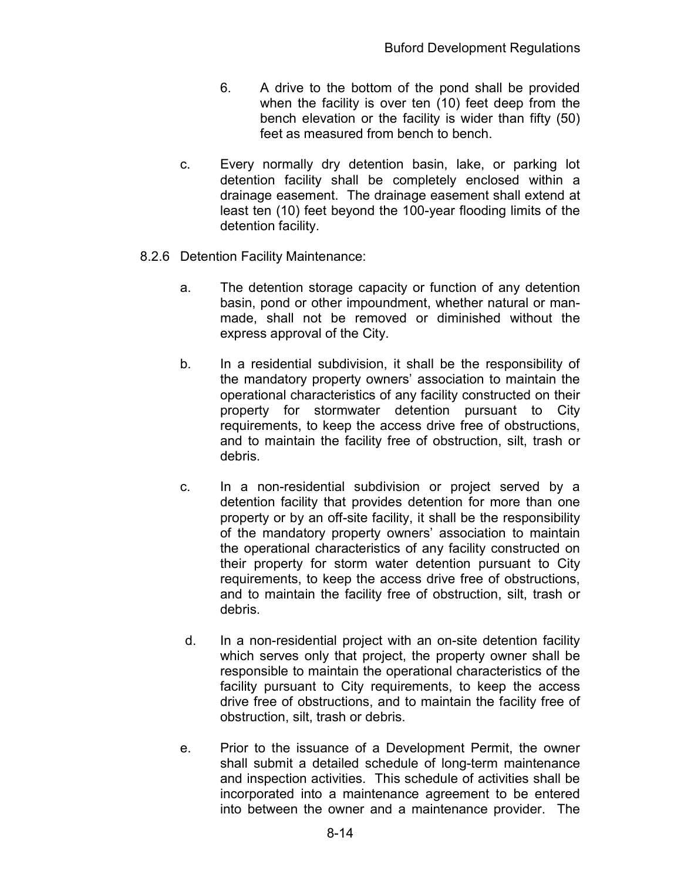- 6. A drive to the bottom of the pond shall be provided when the facility is over ten (10) feet deep from the bench elevation or the facility is wider than fifty (50) feet as measured from bench to bench.
- c. Every normally dry detention basin, lake, or parking lot detention facility shall be completely enclosed within a drainage easement. The drainage easement shall extend at least ten (10) feet beyond the 100-year flooding limits of the detention facility.
- 8.2.6 Detention Facility Maintenance:
	- a. The detention storage capacity or function of any detention basin, pond or other impoundment, whether natural or manmade, shall not be removed or diminished without the express approval of the City.
	- b. In a residential subdivision, it shall be the responsibility of the mandatory property owners' association to maintain the operational characteristics of any facility constructed on their property for stormwater detention pursuant to City requirements, to keep the access drive free of obstructions, and to maintain the facility free of obstruction, silt, trash or debris.
	- c. In a non-residential subdivision or project served by a detention facility that provides detention for more than one property or by an off-site facility, it shall be the responsibility of the mandatory property owners' association to maintain the operational characteristics of any facility constructed on their property for storm water detention pursuant to City requirements, to keep the access drive free of obstructions, and to maintain the facility free of obstruction, silt, trash or debris.
	- d. In a non-residential project with an on-site detention facility which serves only that project, the property owner shall be responsible to maintain the operational characteristics of the facility pursuant to City requirements, to keep the access drive free of obstructions, and to maintain the facility free of obstruction, silt, trash or debris.
	- e. Prior to the issuance of a Development Permit, the owner shall submit a detailed schedule of long-term maintenance and inspection activities. This schedule of activities shall be incorporated into a maintenance agreement to be entered into between the owner and a maintenance provider. The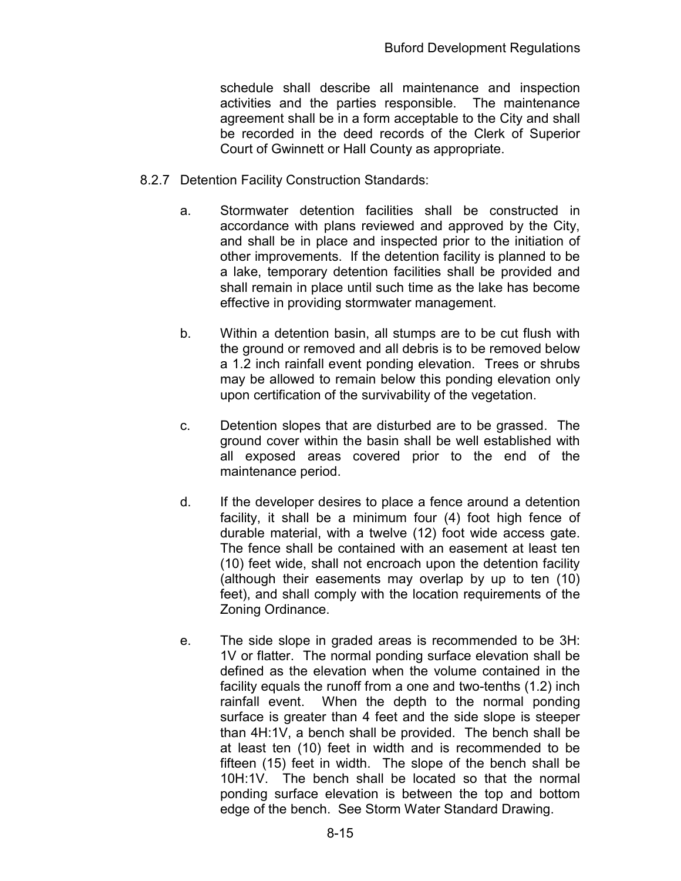schedule shall describe all maintenance and inspection activities and the parties responsible. The maintenance agreement shall be in a form acceptable to the City and shall be recorded in the deed records of the Clerk of Superior Court of Gwinnett or Hall County as appropriate.

- 8.2.7 Detention Facility Construction Standards:
	- a. Stormwater detention facilities shall be constructed in accordance with plans reviewed and approved by the City, and shall be in place and inspected prior to the initiation of other improvements. If the detention facility is planned to be a lake, temporary detention facilities shall be provided and shall remain in place until such time as the lake has become effective in providing stormwater management.
	- b. Within a detention basin, all stumps are to be cut flush with the ground or removed and all debris is to be removed below a 1.2 inch rainfall event ponding elevation. Trees or shrubs may be allowed to remain below this ponding elevation only upon certification of the survivability of the vegetation.
	- c. Detention slopes that are disturbed are to be grassed. The ground cover within the basin shall be well established with all exposed areas covered prior to the end of the maintenance period.
	- d. If the developer desires to place a fence around a detention facility, it shall be a minimum four (4) foot high fence of durable material, with a twelve (12) foot wide access gate. The fence shall be contained with an easement at least ten (10) feet wide, shall not encroach upon the detention facility (although their easements may overlap by up to ten (10) feet), and shall comply with the location requirements of the Zoning Ordinance.
	- e. The side slope in graded areas is recommended to be 3H: 1V or flatter. The normal ponding surface elevation shall be defined as the elevation when the volume contained in the facility equals the runoff from a one and two-tenths (1.2) inch rainfall event. When the depth to the normal ponding surface is greater than 4 feet and the side slope is steeper than 4H:1V, a bench shall be provided. The bench shall be at least ten (10) feet in width and is recommended to be fifteen (15) feet in width. The slope of the bench shall be 10H:1V. The bench shall be located so that the normal ponding surface elevation is between the top and bottom edge of the bench. See Storm Water Standard Drawing.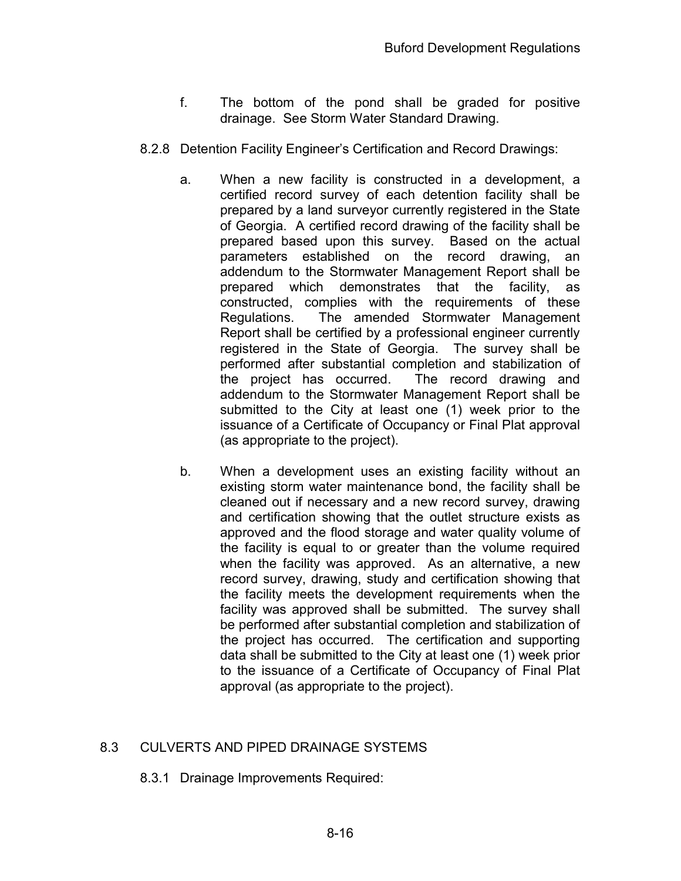- f. The bottom of the pond shall be graded for positive drainage. See Storm Water Standard Drawing.
- 8.2.8 Detention Facility Engineer's Certification and Record Drawings:
	- a. When a new facility is constructed in a development, a certified record survey of each detention facility shall be prepared by a land surveyor currently registered in the State of Georgia. A certified record drawing of the facility shall be prepared based upon this survey. Based on the actual parameters established on the record drawing, an addendum to the Stormwater Management Report shall be prepared which demonstrates that the facility, as constructed, complies with the requirements of these Regulations. The amended Stormwater Management Report shall be certified by a professional engineer currently registered in the State of Georgia. The survey shall be performed after substantial completion and stabilization of the project has occurred. The record drawing and addendum to the Stormwater Management Report shall be submitted to the City at least one (1) week prior to the issuance of a Certificate of Occupancy or Final Plat approval (as appropriate to the project).
	- b. When a development uses an existing facility without an existing storm water maintenance bond, the facility shall be cleaned out if necessary and a new record survey, drawing and certification showing that the outlet structure exists as approved and the flood storage and water quality volume of the facility is equal to or greater than the volume required when the facility was approved. As an alternative, a new record survey, drawing, study and certification showing that the facility meets the development requirements when the facility was approved shall be submitted. The survey shall be performed after substantial completion and stabilization of the project has occurred. The certification and supporting data shall be submitted to the City at least one (1) week prior to the issuance of a Certificate of Occupancy of Final Plat approval (as appropriate to the project).

## 8.3 CULVERTS AND PIPED DRAINAGE SYSTEMS

8.3.1 Drainage Improvements Required: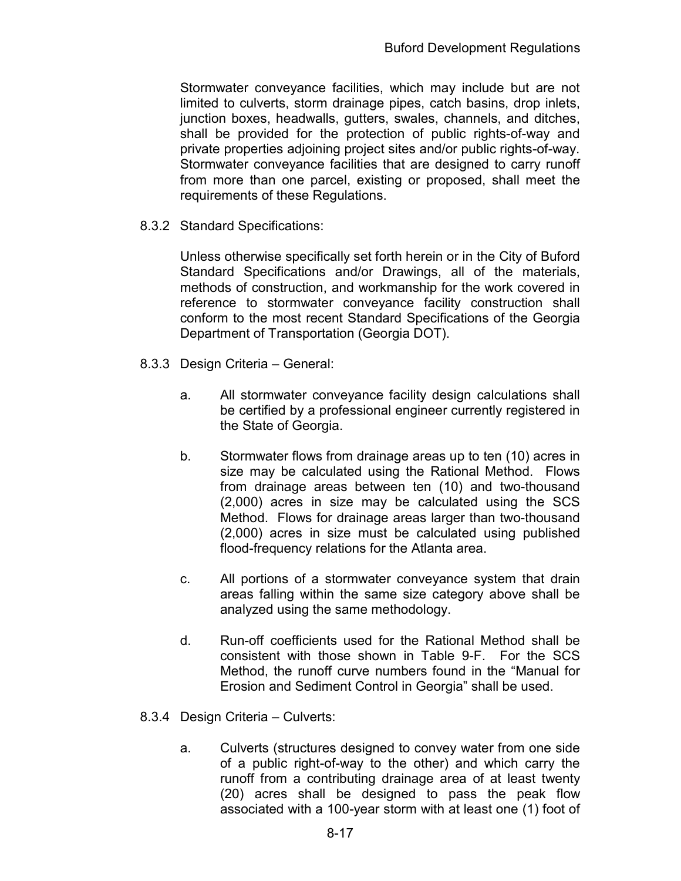Stormwater conveyance facilities, which may include but are not limited to culverts, storm drainage pipes, catch basins, drop inlets, junction boxes, headwalls, gutters, swales, channels, and ditches, shall be provided for the protection of public rights-of-way and private properties adjoining project sites and/or public rights-of-way. Stormwater conveyance facilities that are designed to carry runoff from more than one parcel, existing or proposed, shall meet the requirements of these Regulations.

8.3.2 Standard Specifications:

Unless otherwise specifically set forth herein or in the City of Buford Standard Specifications and/or Drawings, all of the materials, methods of construction, and workmanship for the work covered in reference to stormwater conveyance facility construction shall conform to the most recent Standard Specifications of the Georgia Department of Transportation (Georgia DOT).

- 8.3.3 Design Criteria General:
	- a. All stormwater conveyance facility design calculations shall be certified by a professional engineer currently registered in the State of Georgia.
	- b. Stormwater flows from drainage areas up to ten (10) acres in size may be calculated using the Rational Method. Flows from drainage areas between ten (10) and two-thousand (2,000) acres in size may be calculated using the SCS Method. Flows for drainage areas larger than two-thousand (2,000) acres in size must be calculated using published flood-frequency relations for the Atlanta area.
	- c. All portions of a stormwater conveyance system that drain areas falling within the same size category above shall be analyzed using the same methodology.
	- d. Run-off coefficients used for the Rational Method shall be consistent with those shown in Table 9-F. For the SCS Method, the runoff curve numbers found in the "Manual for Erosion and Sediment Control in Georgia" shall be used.
- 8.3.4 Design Criteria Culverts:
	- a. Culverts (structures designed to convey water from one side of a public right-of-way to the other) and which carry the runoff from a contributing drainage area of at least twenty (20) acres shall be designed to pass the peak flow associated with a 100-year storm with at least one (1) foot of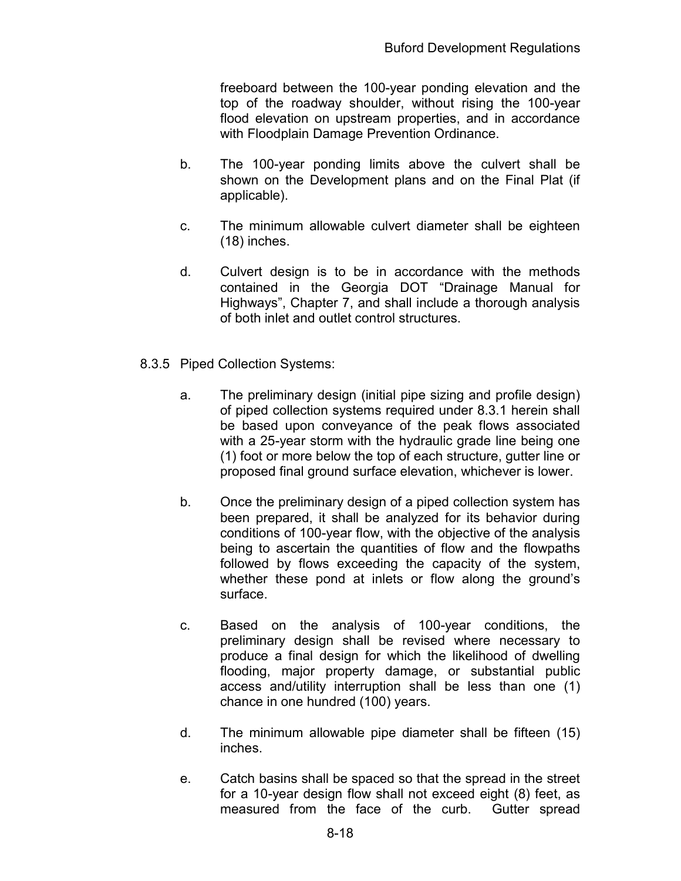freeboard between the 100-year ponding elevation and the top of the roadway shoulder, without rising the 100-year flood elevation on upstream properties, and in accordance with Floodplain Damage Prevention Ordinance.

- b. The 100-year ponding limits above the culvert shall be shown on the Development plans and on the Final Plat (if applicable).
- c. The minimum allowable culvert diameter shall be eighteen (18) inches.
- d. Culvert design is to be in accordance with the methods contained in the Georgia DOT "Drainage Manual for Highways", Chapter 7, and shall include a thorough analysis of both inlet and outlet control structures.
- 8.3.5 Piped Collection Systems:
	- a. The preliminary design (initial pipe sizing and profile design) of piped collection systems required under 8.3.1 herein shall be based upon conveyance of the peak flows associated with a 25-year storm with the hydraulic grade line being one (1) foot or more below the top of each structure, gutter line or proposed final ground surface elevation, whichever is lower.
	- b. Once the preliminary design of a piped collection system has been prepared, it shall be analyzed for its behavior during conditions of 100-year flow, with the objective of the analysis being to ascertain the quantities of flow and the flowpaths followed by flows exceeding the capacity of the system, whether these pond at inlets or flow along the ground's surface.
	- c. Based on the analysis of 100-year conditions, the preliminary design shall be revised where necessary to produce a final design for which the likelihood of dwelling flooding, major property damage, or substantial public access and/utility interruption shall be less than one (1) chance in one hundred (100) years.
	- d. The minimum allowable pipe diameter shall be fifteen (15) inches.
	- e. Catch basins shall be spaced so that the spread in the street for a 10-year design flow shall not exceed eight (8) feet, as measured from the face of the curb. Gutter spread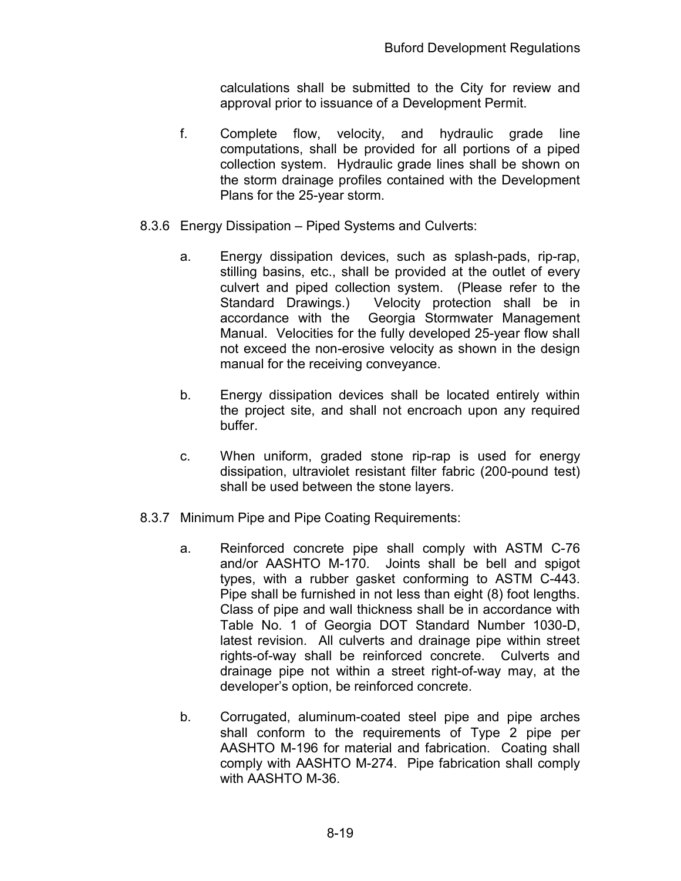calculations shall be submitted to the City for review and approval prior to issuance of a Development Permit.

- f. Complete flow, velocity, and hydraulic grade line computations, shall be provided for all portions of a piped collection system. Hydraulic grade lines shall be shown on the storm drainage profiles contained with the Development Plans for the 25-year storm.
- 8.3.6 Energy Dissipation Piped Systems and Culverts:
	- a. Energy dissipation devices, such as splash-pads, rip-rap, stilling basins, etc., shall be provided at the outlet of every culvert and piped collection system. (Please refer to the Standard Drawings.) Velocity protection shall be in accordance with the Georgia Stormwater Management Manual. Velocities for the fully developed 25-year flow shall not exceed the non-erosive velocity as shown in the design manual for the receiving conveyance.
	- b. Energy dissipation devices shall be located entirely within the project site, and shall not encroach upon any required buffer.
	- c. When uniform, graded stone rip-rap is used for energy dissipation, ultraviolet resistant filter fabric (200-pound test) shall be used between the stone layers.
- 8.3.7 Minimum Pipe and Pipe Coating Requirements:
	- a. Reinforced concrete pipe shall comply with ASTM C-76 and/or AASHTO M-170. Joints shall be bell and spigot types, with a rubber gasket conforming to ASTM C-443. Pipe shall be furnished in not less than eight (8) foot lengths. Class of pipe and wall thickness shall be in accordance with Table No. 1 of Georgia DOT Standard Number 1030-D, latest revision. All culverts and drainage pipe within street rights-of-way shall be reinforced concrete. Culverts and drainage pipe not within a street right-of-way may, at the developer's option, be reinforced concrete.
	- b. Corrugated, aluminum-coated steel pipe and pipe arches shall conform to the requirements of Type 2 pipe per AASHTO M-196 for material and fabrication. Coating shall comply with AASHTO M-274. Pipe fabrication shall comply with AASHTO M-36.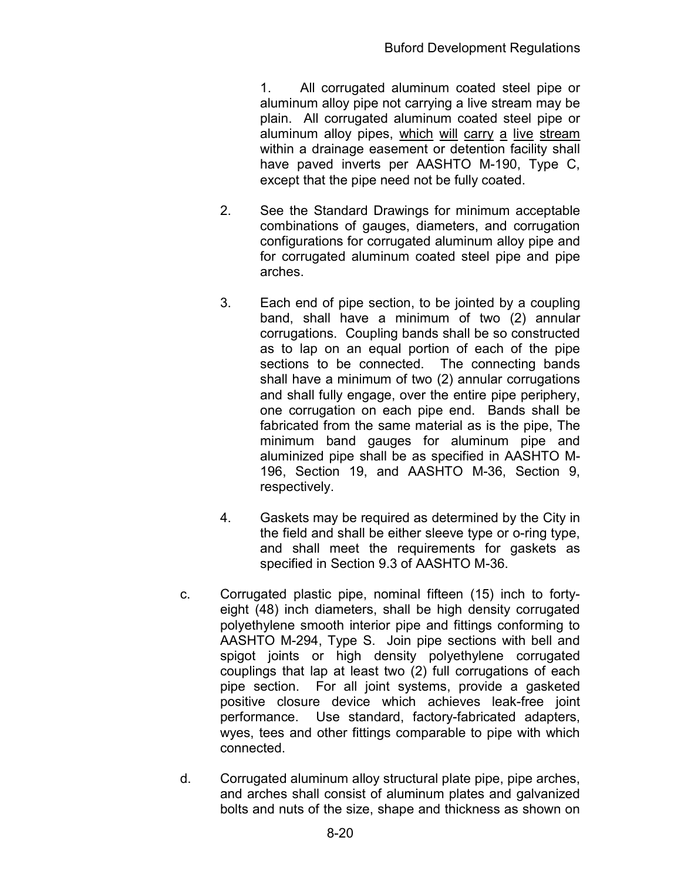1. All corrugated aluminum coated steel pipe or aluminum alloy pipe not carrying a live stream may be plain. All corrugated aluminum coated steel pipe or aluminum alloy pipes, which will carry a live stream within a drainage easement or detention facility shall have paved inverts per AASHTO M-190, Type C, except that the pipe need not be fully coated.

- 2. See the Standard Drawings for minimum acceptable combinations of gauges, diameters, and corrugation configurations for corrugated aluminum alloy pipe and for corrugated aluminum coated steel pipe and pipe arches.
- 3. Each end of pipe section, to be jointed by a coupling band, shall have a minimum of two (2) annular corrugations. Coupling bands shall be so constructed as to lap on an equal portion of each of the pipe sections to be connected. The connecting bands shall have a minimum of two (2) annular corrugations and shall fully engage, over the entire pipe periphery, one corrugation on each pipe end. Bands shall be fabricated from the same material as is the pipe, The minimum band gauges for aluminum pipe and aluminized pipe shall be as specified in AASHTO M-196, Section 19, and AASHTO M-36, Section 9, respectively.
- 4. Gaskets may be required as determined by the City in the field and shall be either sleeve type or o-ring type, and shall meet the requirements for gaskets as specified in Section 9.3 of AASHTO M-36.
- c. Corrugated plastic pipe, nominal fifteen (15) inch to fortyeight (48) inch diameters, shall be high density corrugated polyethylene smooth interior pipe and fittings conforming to AASHTO M-294, Type S. Join pipe sections with bell and spigot joints or high density polyethylene corrugated couplings that lap at least two (2) full corrugations of each pipe section. For all joint systems, provide a gasketed positive closure device which achieves leak-free joint performance. Use standard, factory-fabricated adapters, wyes, tees and other fittings comparable to pipe with which connected.
- d. Corrugated aluminum alloy structural plate pipe, pipe arches, and arches shall consist of aluminum plates and galvanized bolts and nuts of the size, shape and thickness as shown on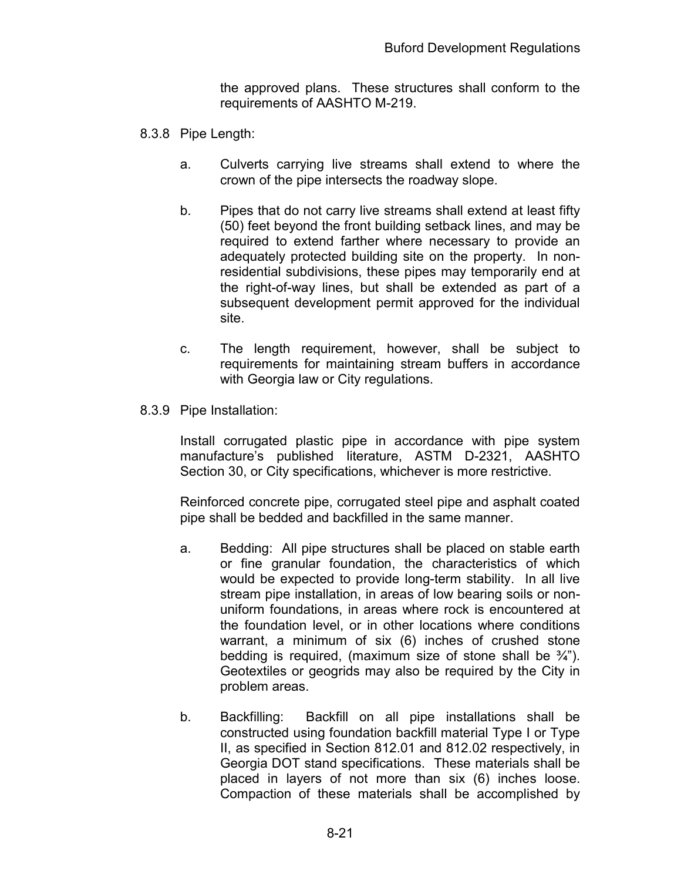the approved plans. These structures shall conform to the requirements of AASHTO M-219.

- 8.3.8 Pipe Length:
	- a. Culverts carrying live streams shall extend to where the crown of the pipe intersects the roadway slope.
	- b. Pipes that do not carry live streams shall extend at least fifty (50) feet beyond the front building setback lines, and may be required to extend farther where necessary to provide an adequately protected building site on the property. In nonresidential subdivisions, these pipes may temporarily end at the right-of-way lines, but shall be extended as part of a subsequent development permit approved for the individual site.
	- c. The length requirement, however, shall be subject to requirements for maintaining stream buffers in accordance with Georgia law or City regulations.
- 8.3.9 Pipe Installation:

Install corrugated plastic pipe in accordance with pipe system manufacture's published literature, ASTM D-2321, AASHTO Section 30, or City specifications, whichever is more restrictive.

Reinforced concrete pipe, corrugated steel pipe and asphalt coated pipe shall be bedded and backfilled in the same manner.

- a. Bedding: All pipe structures shall be placed on stable earth or fine granular foundation, the characteristics of which would be expected to provide long-term stability. In all live stream pipe installation, in areas of low bearing soils or nonuniform foundations, in areas where rock is encountered at the foundation level, or in other locations where conditions warrant, a minimum of six (6) inches of crushed stone bedding is required, (maximum size of stone shall be  $\frac{3}{4}$ "). Geotextiles or geogrids may also be required by the City in problem areas.
- b. Backfilling: Backfill on all pipe installations shall be constructed using foundation backfill material Type I or Type II, as specified in Section 812.01 and 812.02 respectively, in Georgia DOT stand specifications. These materials shall be placed in layers of not more than six (6) inches loose. Compaction of these materials shall be accomplished by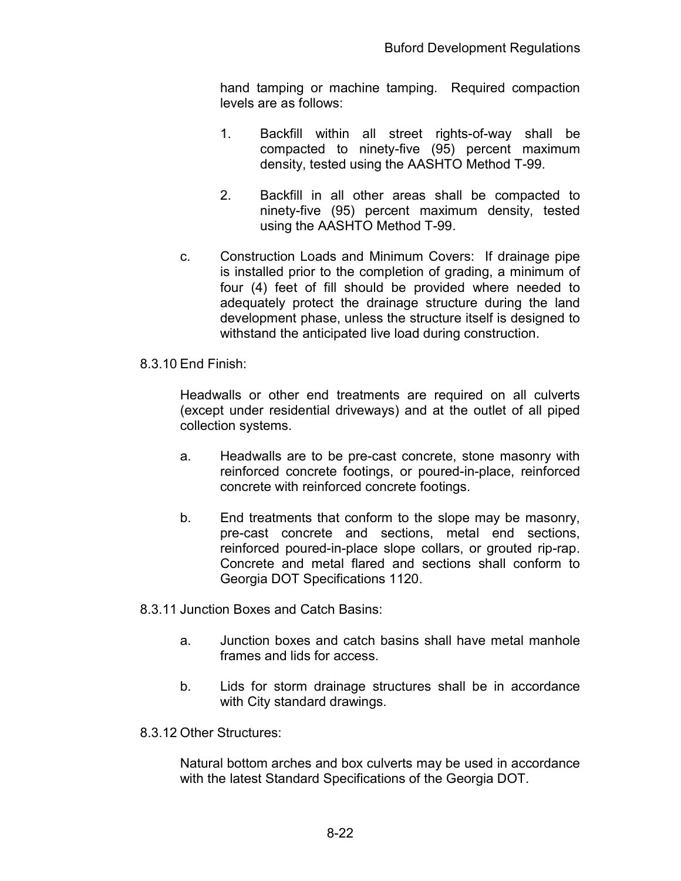hand tamping or machine tamping. Required compaction levels are as follows:

- 1. Backfill within all street rights-of-way shall be compacted to ninety-five (95) percent maximum density, tested using the AASHTO Method T-99.
- 2. Backfill in all other areas shall be compacted to ninety-five (95) percent maximum density, tested using the AASHTO Method T-99.
- c. Construction Loads and Minimum Covers: If drainage pipe is installed prior to the completion of grading, a minimum of four (4) feet of fill should be provided where needed to adequately protect the drainage structure during the land development phase, unless the structure itself is designed to withstand the anticipated live load during construction.

## 8.3.10 End Finish:

Headwalls or other end treatments are required on all culverts (except under residential driveways) and at the outlet of all piped collection systems.

- a. Headwalls are to be pre-cast concrete, stone masonry with reinforced concrete footings, or poured-in-place, reinforced concrete with reinforced concrete footings.
- b. End treatments that conform to the slope may be masonry, pre-cast concrete and sections, metal end sections, reinforced poured-in-place slope collars, or grouted rip-rap. Concrete and metal flared and sections shall conform to Georgia DOT Specifications 1120.

8.3.11 Junction Boxes and Catch Basins:

- a. Junction boxes and catch basins shall have metal manhole frames and lids for access.
- b. Lids for storm drainage structures shall be in accordance with City standard drawings.
- 8.3.12 Other Structures:

Natural bottom arches and box culverts may be used in accordance with the latest Standard Specifications of the Georgia DOT.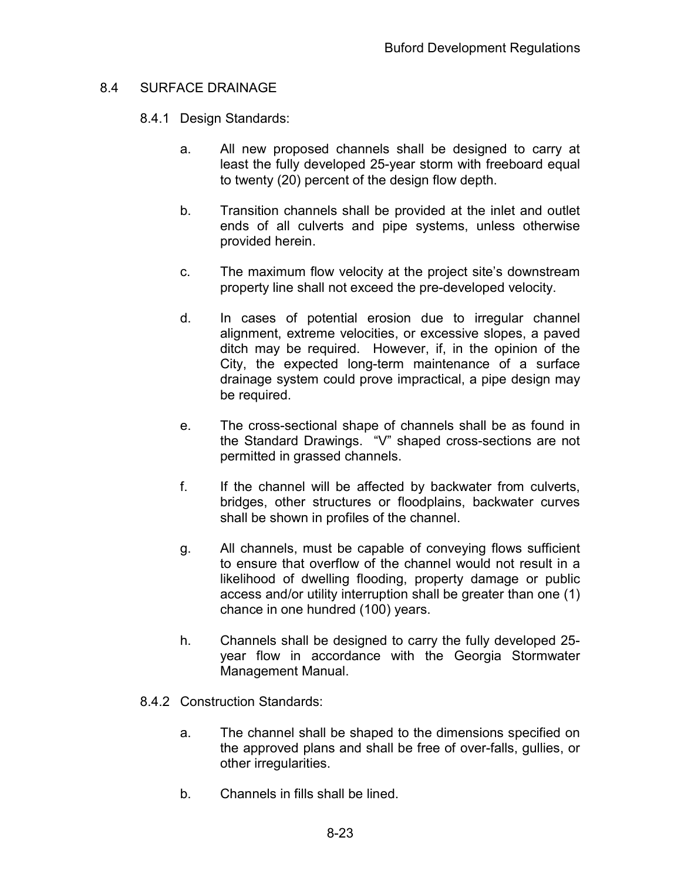## 8.4 SURFACE DRAINAGE

- 8.4.1 Design Standards:
	- a. All new proposed channels shall be designed to carry at least the fully developed 25-year storm with freeboard equal to twenty (20) percent of the design flow depth.
	- b. Transition channels shall be provided at the inlet and outlet ends of all culverts and pipe systems, unless otherwise provided herein.
	- c. The maximum flow velocity at the project site's downstream property line shall not exceed the pre-developed velocity.
	- d. In cases of potential erosion due to irregular channel alignment, extreme velocities, or excessive slopes, a paved ditch may be required. However, if, in the opinion of the City, the expected long-term maintenance of a surface drainage system could prove impractical, a pipe design may be required.
	- e. The cross-sectional shape of channels shall be as found in the Standard Drawings. "V" shaped cross-sections are not permitted in grassed channels.
	- f. If the channel will be affected by backwater from culverts, bridges, other structures or floodplains, backwater curves shall be shown in profiles of the channel.
	- g. All channels, must be capable of conveying flows sufficient to ensure that overflow of the channel would not result in a likelihood of dwelling flooding, property damage or public access and/or utility interruption shall be greater than one (1) chance in one hundred (100) years.
	- h. Channels shall be designed to carry the fully developed 25 year flow in accordance with the Georgia Stormwater Management Manual.
- 8.4.2 Construction Standards:
	- a. The channel shall be shaped to the dimensions specified on the approved plans and shall be free of over-falls, gullies, or other irregularities.
	- b. Channels in fills shall be lined.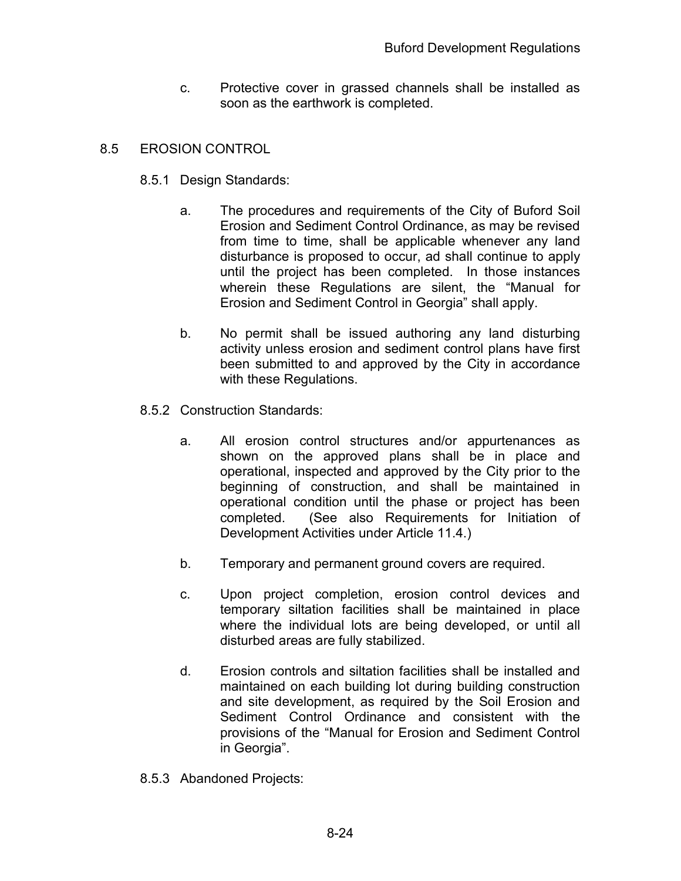c. Protective cover in grassed channels shall be installed as soon as the earthwork is completed.

## 8.5 EROSION CONTROL

- 8.5.1 Design Standards:
	- a. The procedures and requirements of the City of Buford Soil Erosion and Sediment Control Ordinance, as may be revised from time to time, shall be applicable whenever any land disturbance is proposed to occur, ad shall continue to apply until the project has been completed. In those instances wherein these Regulations are silent, the "Manual for Erosion and Sediment Control in Georgia" shall apply.
	- b. No permit shall be issued authoring any land disturbing activity unless erosion and sediment control plans have first been submitted to and approved by the City in accordance with these Regulations.
- 8.5.2 Construction Standards:
	- a. All erosion control structures and/or appurtenances as shown on the approved plans shall be in place and operational, inspected and approved by the City prior to the beginning of construction, and shall be maintained in operational condition until the phase or project has been completed. (See also Requirements for Initiation of Development Activities under Article 11.4.)
	- b. Temporary and permanent ground covers are required.
	- c. Upon project completion, erosion control devices and temporary siltation facilities shall be maintained in place where the individual lots are being developed, or until all disturbed areas are fully stabilized.
	- d. Erosion controls and siltation facilities shall be installed and maintained on each building lot during building construction and site development, as required by the Soil Erosion and Sediment Control Ordinance and consistent with the provisions of the "Manual for Erosion and Sediment Control in Georgia".
- 8.5.3 Abandoned Projects: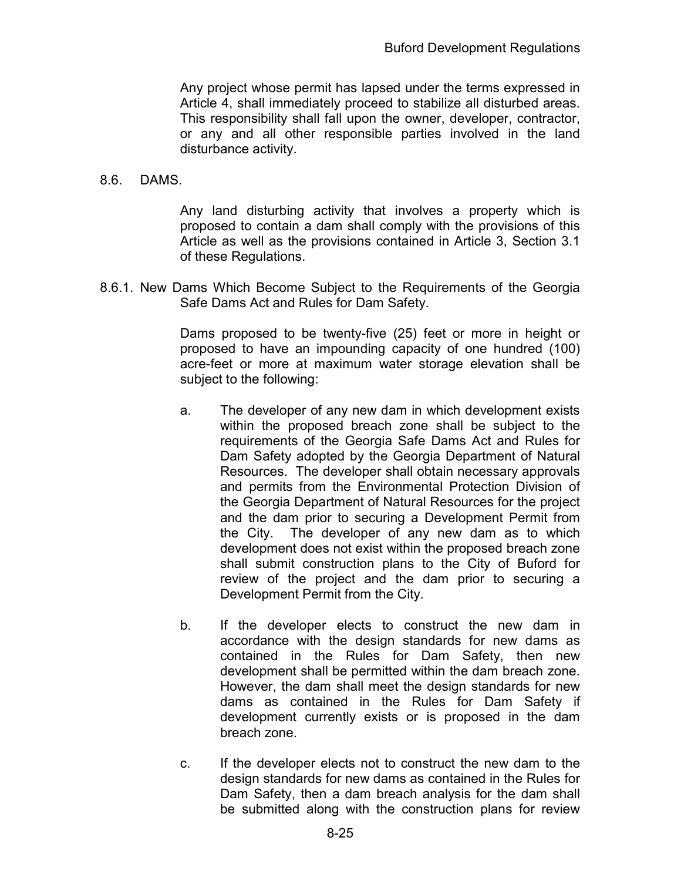Any project whose permit has lapsed under the terms expressed in Article 4, shall immediately proceed to stabilize all disturbed areas. This responsibility shall fall upon the owner, developer, contractor, or any and all other responsible parties involved in the land disturbance activity.

#### 8.6. DAMS.

Any land disturbing activity that involves a property which is proposed to contain a dam shall comply with the provisions of this Article as well as the provisions contained in Article 3, Section 3.1 of these Regulations.

8.6.1. New Dams Which Become Subject to the Requirements of the Georgia Safe Dams Act and Rules for Dam Safety.

> Dams proposed to be twenty-five (25) feet or more in height or proposed to have an impounding capacity of one hundred (100) acre-feet or more at maximum water storage elevation shall be subject to the following:

- a. The developer of any new dam in which development exists within the proposed breach zone shall be subject to the requirements of the Georgia Safe Dams Act and Rules for Dam Safety adopted by the Georgia Department of Natural Resources. The developer shall obtain necessary approvals and permits from the Environmental Protection Division of the Georgia Department of Natural Resources for the project and the dam prior to securing a Development Permit from the City. The developer of any new dam as to which development does not exist within the proposed breach zone shall submit construction plans to the City of Buford for review of the project and the dam prior to securing a Development Permit from the City.
- b. If the developer elects to construct the new dam in accordance with the design standards for new dams as contained in the Rules for Dam Safety, then new development shall be permitted within the dam breach zone. However, the dam shall meet the design standards for new dams as contained in the Rules for Dam Safety if development currently exists or is proposed in the dam breach zone.
- c. If the developer elects not to construct the new dam to the design standards for new dams as contained in the Rules for Dam Safety, then a dam breach analysis for the dam shall be submitted along with the construction plans for review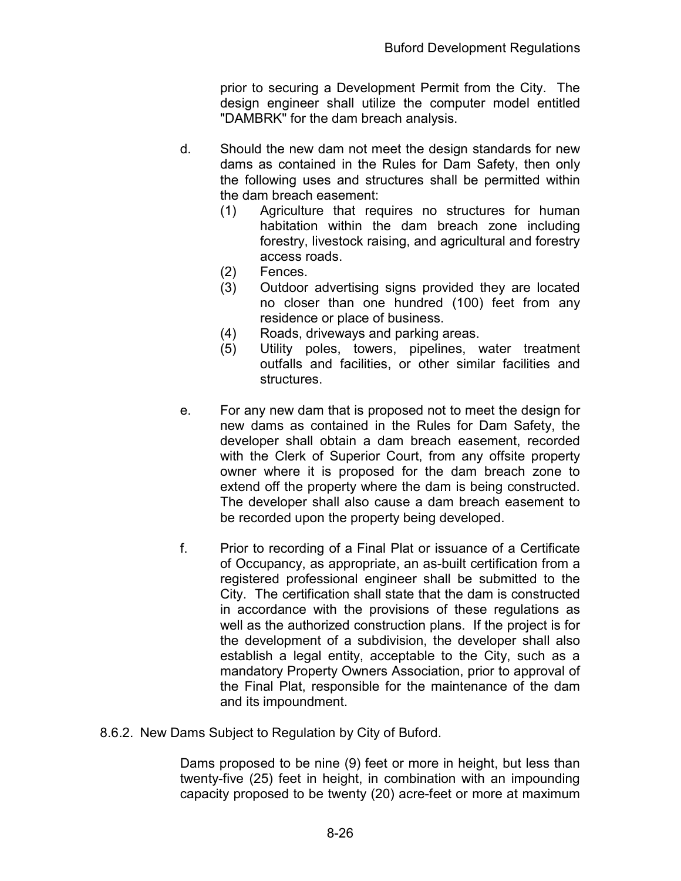prior to securing a Development Permit from the City. The design engineer shall utilize the computer model entitled "DAMBRK" for the dam breach analysis.

- d. Should the new dam not meet the design standards for new dams as contained in the Rules for Dam Safety, then only the following uses and structures shall be permitted within the dam breach easement:
	- (1) Agriculture that requires no structures for human habitation within the dam breach zone including forestry, livestock raising, and agricultural and forestry access roads.
	- (2) Fences.
	- (3) Outdoor advertising signs provided they are located no closer than one hundred (100) feet from any residence or place of business.
	- (4) Roads, driveways and parking areas.
	- (5) Utility poles, towers, pipelines, water treatment outfalls and facilities, or other similar facilities and structures.
- e. For any new dam that is proposed not to meet the design for new dams as contained in the Rules for Dam Safety, the developer shall obtain a dam breach easement, recorded with the Clerk of Superior Court, from any offsite property owner where it is proposed for the dam breach zone to extend off the property where the dam is being constructed. The developer shall also cause a dam breach easement to be recorded upon the property being developed.
- f. Prior to recording of a Final Plat or issuance of a Certificate of Occupancy, as appropriate, an as-built certification from a registered professional engineer shall be submitted to the City. The certification shall state that the dam is constructed in accordance with the provisions of these regulations as well as the authorized construction plans. If the project is for the development of a subdivision, the developer shall also establish a legal entity, acceptable to the City, such as a mandatory Property Owners Association, prior to approval of the Final Plat, responsible for the maintenance of the dam and its impoundment.
- 8.6.2. New Dams Subject to Regulation by City of Buford.

Dams proposed to be nine (9) feet or more in height, but less than twenty-five (25) feet in height, in combination with an impounding capacity proposed to be twenty (20) acre-feet or more at maximum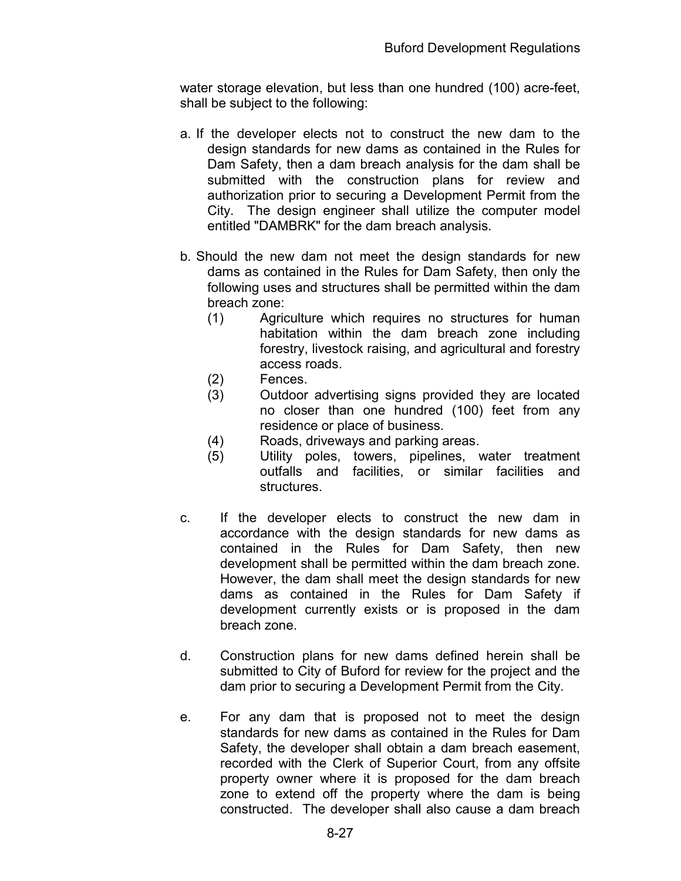water storage elevation, but less than one hundred (100) acre-feet, shall be subject to the following:

- a. If the developer elects not to construct the new dam to the design standards for new dams as contained in the Rules for Dam Safety, then a dam breach analysis for the dam shall be submitted with the construction plans for review and authorization prior to securing a Development Permit from the City. The design engineer shall utilize the computer model entitled "DAMBRK" for the dam breach analysis.
- b. Should the new dam not meet the design standards for new dams as contained in the Rules for Dam Safety, then only the following uses and structures shall be permitted within the dam breach zone:
	- (1) Agriculture which requires no structures for human habitation within the dam breach zone including forestry, livestock raising, and agricultural and forestry access roads.
	- (2) Fences.
	- (3) Outdoor advertising signs provided they are located no closer than one hundred (100) feet from any residence or place of business.
	- (4) Roads, driveways and parking areas.
	- (5) Utility poles, towers, pipelines, water treatment outfalls and facilities, or similar facilities and structures.
- c. If the developer elects to construct the new dam in accordance with the design standards for new dams as contained in the Rules for Dam Safety, then new development shall be permitted within the dam breach zone. However, the dam shall meet the design standards for new dams as contained in the Rules for Dam Safety if development currently exists or is proposed in the dam breach zone.
- d. Construction plans for new dams defined herein shall be submitted to City of Buford for review for the project and the dam prior to securing a Development Permit from the City.
- e. For any dam that is proposed not to meet the design standards for new dams as contained in the Rules for Dam Safety, the developer shall obtain a dam breach easement, recorded with the Clerk of Superior Court, from any offsite property owner where it is proposed for the dam breach zone to extend off the property where the dam is being constructed. The developer shall also cause a dam breach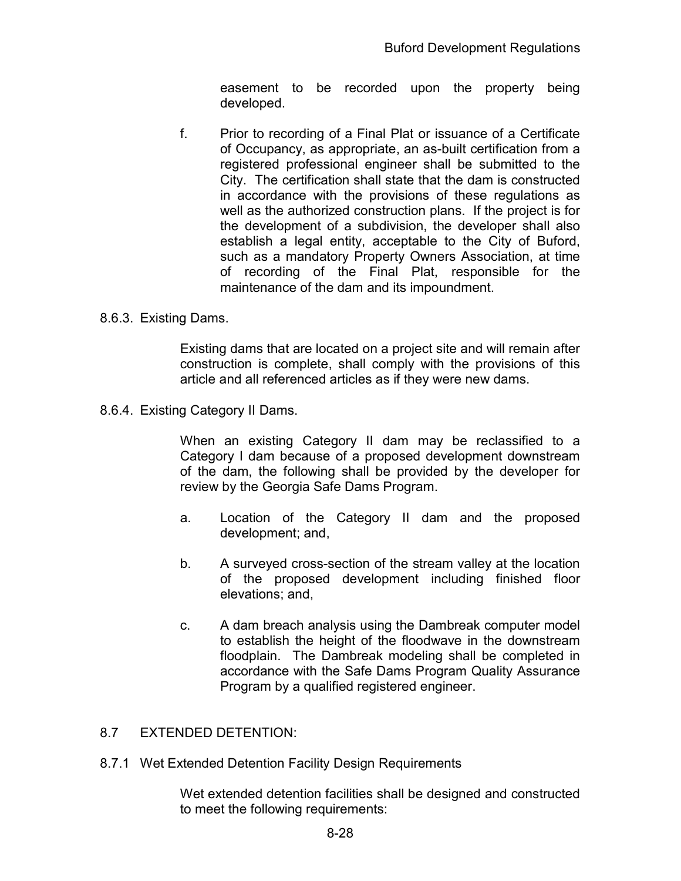easement to be recorded upon the property being developed.

f. Prior to recording of a Final Plat or issuance of a Certificate of Occupancy, as appropriate, an as-built certification from a registered professional engineer shall be submitted to the City. The certification shall state that the dam is constructed in accordance with the provisions of these regulations as well as the authorized construction plans. If the project is for the development of a subdivision, the developer shall also establish a legal entity, acceptable to the City of Buford, such as a mandatory Property Owners Association, at time of recording of the Final Plat, responsible for the maintenance of the dam and its impoundment.

## 8.6.3. Existing Dams.

Existing dams that are located on a project site and will remain after construction is complete, shall comply with the provisions of this article and all referenced articles as if they were new dams.

8.6.4. Existing Category II Dams.

When an existing Category II dam may be reclassified to a Category I dam because of a proposed development downstream of the dam, the following shall be provided by the developer for review by the Georgia Safe Dams Program.

- a. Location of the Category II dam and the proposed development; and,
- b. A surveyed cross-section of the stream valley at the location of the proposed development including finished floor elevations; and,
- c. A dam breach analysis using the Dambreak computer model to establish the height of the floodwave in the downstream floodplain. The Dambreak modeling shall be completed in accordance with the Safe Dams Program Quality Assurance Program by a qualified registered engineer.
- 8.7 EXTENDED DETENTION:
- 8.7.1 Wet Extended Detention Facility Design Requirements

Wet extended detention facilities shall be designed and constructed to meet the following requirements: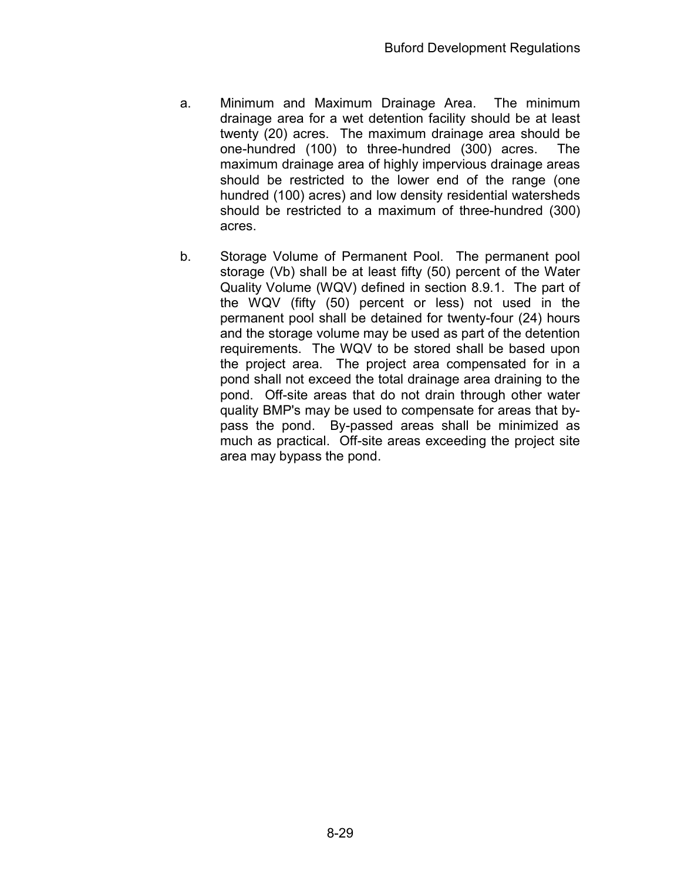- a. Minimum and Maximum Drainage Area. The minimum drainage area for a wet detention facility should be at least twenty (20) acres. The maximum drainage area should be one-hundred (100) to three-hundred (300) acres. The maximum drainage area of highly impervious drainage areas should be restricted to the lower end of the range (one hundred (100) acres) and low density residential watersheds should be restricted to a maximum of three-hundred (300) acres.
- b. Storage Volume of Permanent Pool. The permanent pool storage (Vb) shall be at least fifty (50) percent of the Water Quality Volume (WQV) defined in section 8.9.1. The part of the WQV (fifty (50) percent or less) not used in the permanent pool shall be detained for twenty-four (24) hours and the storage volume may be used as part of the detention requirements. The WQV to be stored shall be based upon the project area. The project area compensated for in a pond shall not exceed the total drainage area draining to the pond. Off-site areas that do not drain through other water quality BMP's may be used to compensate for areas that bypass the pond. By-passed areas shall be minimized as much as practical. Off-site areas exceeding the project site area may bypass the pond.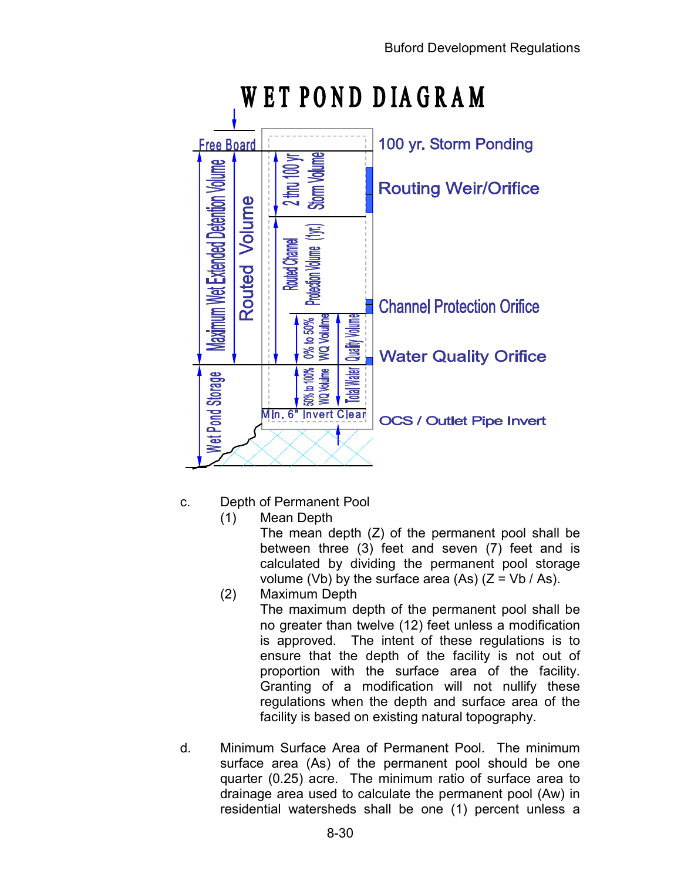

# WET POND DIAGRAM

- c. Depth of Permanent Pool
	- (1) Mean Depth

The mean depth (Z) of the permanent pool shall be between three (3) feet and seven (7) feet and is calculated by dividing the permanent pool storage volume (Vb) by the surface area (As)  $(Z = Vb / As)$ .

- (2) Maximum Depth The maximum depth of the permanent pool shall be no greater than twelve (12) feet unless a modification is approved. The intent of these regulations is to ensure that the depth of the facility is not out of proportion with the surface area of the facility. Granting of a modification will not nullify these regulations when the depth and surface area of the facility is based on existing natural topography.
- d. Minimum Surface Area of Permanent Pool. The minimum surface area (As) of the permanent pool should be one quarter (0.25) acre. The minimum ratio of surface area to drainage area used to calculate the permanent pool (Aw) in residential watersheds shall be one (1) percent unless a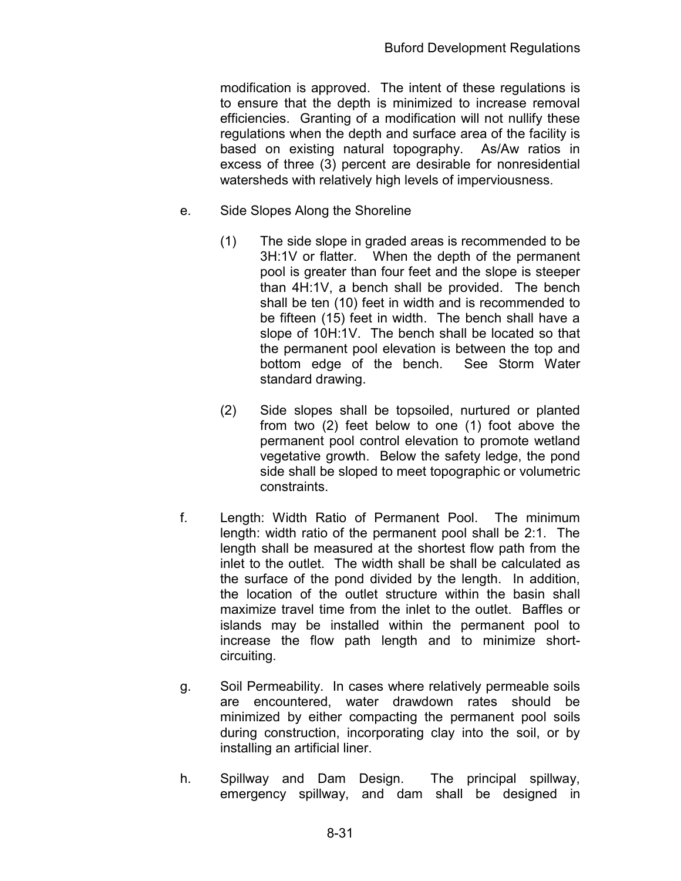modification is approved. The intent of these regulations is to ensure that the depth is minimized to increase removal efficiencies. Granting of a modification will not nullify these regulations when the depth and surface area of the facility is based on existing natural topography. As/Aw ratios in excess of three (3) percent are desirable for nonresidential watersheds with relatively high levels of imperviousness.

- e. Side Slopes Along the Shoreline
	- (1) The side slope in graded areas is recommended to be 3H:1V or flatter. When the depth of the permanent pool is greater than four feet and the slope is steeper than 4H:1V, a bench shall be provided. The bench shall be ten (10) feet in width and is recommended to be fifteen (15) feet in width. The bench shall have a slope of 10H:1V. The bench shall be located so that the permanent pool elevation is between the top and bottom edge of the bench. See Storm Water standard drawing.
	- (2) Side slopes shall be topsoiled, nurtured or planted from two (2) feet below to one (1) foot above the permanent pool control elevation to promote wetland vegetative growth. Below the safety ledge, the pond side shall be sloped to meet topographic or volumetric constraints.
- f. Length: Width Ratio of Permanent Pool. The minimum length: width ratio of the permanent pool shall be 2:1. The length shall be measured at the shortest flow path from the inlet to the outlet. The width shall be shall be calculated as the surface of the pond divided by the length. In addition, the location of the outlet structure within the basin shall maximize travel time from the inlet to the outlet. Baffles or islands may be installed within the permanent pool to increase the flow path length and to minimize shortcircuiting.
- g. Soil Permeability. In cases where relatively permeable soils are encountered, water drawdown rates should be minimized by either compacting the permanent pool soils during construction, incorporating clay into the soil, or by installing an artificial liner.
- h. Spillway and Dam Design. The principal spillway, emergency spillway, and dam shall be designed in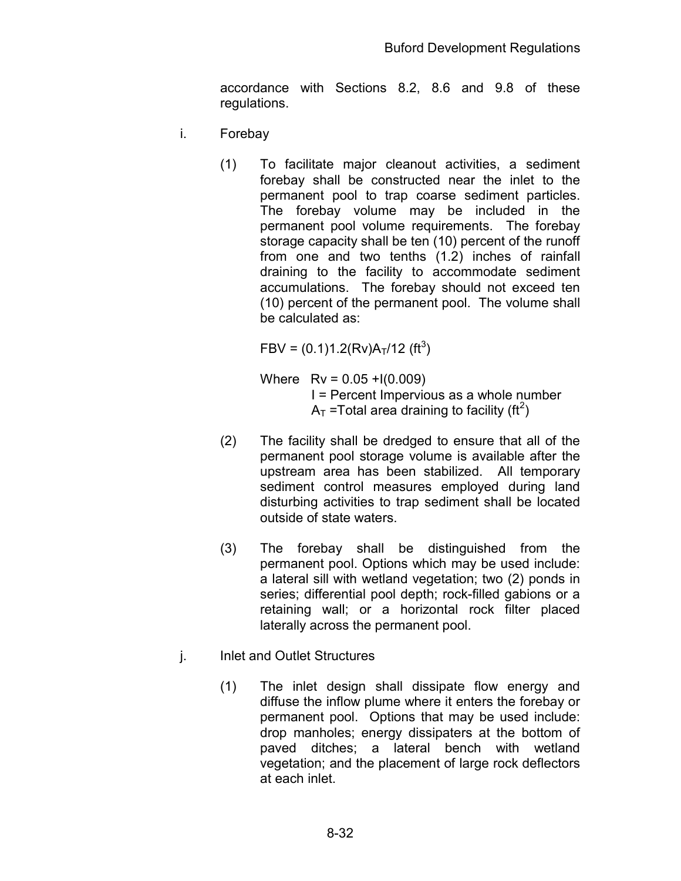accordance with Sections 8.2, 8.6 and 9.8 of these regulations.

- i. Forebay
	- (1) To facilitate major cleanout activities, a sediment forebay shall be constructed near the inlet to the permanent pool to trap coarse sediment particles. The forebay volume may be included in the permanent pool volume requirements. The forebay storage capacity shall be ten (10) percent of the runoff from one and two tenths (1.2) inches of rainfall draining to the facility to accommodate sediment accumulations. The forebay should not exceed ten (10) percent of the permanent pool. The volume shall be calculated as:

 $FBV = (0.1)1.2(Rv)A<sub>T</sub>/12 (ft<sup>3</sup>)$ 

Where  $Rv = 0.05 + 1(0.009)$  I = Percent Impervious as a whole number  $A_T$  =Total area draining to facility (ft<sup>2</sup>)

- (2) The facility shall be dredged to ensure that all of the permanent pool storage volume is available after the upstream area has been stabilized. All temporary sediment control measures employed during land disturbing activities to trap sediment shall be located outside of state waters.
- (3) The forebay shall be distinguished from the permanent pool. Options which may be used include: a lateral sill with wetland vegetation; two (2) ponds in series; differential pool depth; rock-filled gabions or a retaining wall; or a horizontal rock filter placed laterally across the permanent pool.
- j. Inlet and Outlet Structures
	- (1) The inlet design shall dissipate flow energy and diffuse the inflow plume where it enters the forebay or permanent pool. Options that may be used include: drop manholes; energy dissipaters at the bottom of paved ditches; a lateral bench with wetland vegetation; and the placement of large rock deflectors at each inlet.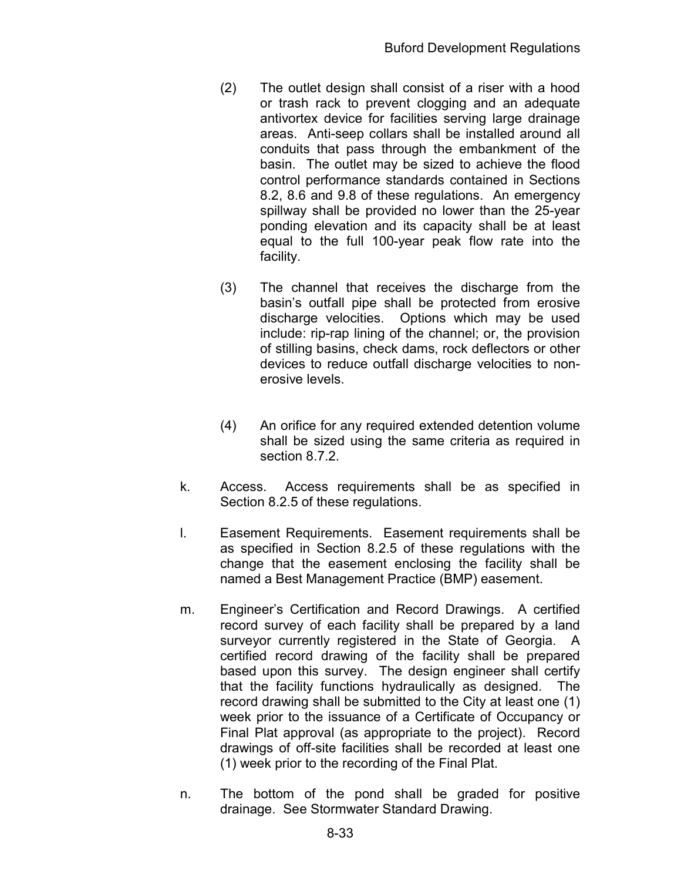- (2) The outlet design shall consist of a riser with a hood or trash rack to prevent clogging and an adequate antivortex device for facilities serving large drainage areas. Anti-seep collars shall be installed around all conduits that pass through the embankment of the basin. The outlet may be sized to achieve the flood control performance standards contained in Sections 8.2, 8.6 and 9.8 of these regulations. An emergency spillway shall be provided no lower than the 25-year ponding elevation and its capacity shall be at least equal to the full 100-year peak flow rate into the facility.
- (3) The channel that receives the discharge from the basin's outfall pipe shall be protected from erosive discharge velocities. Options which may be used include: rip-rap lining of the channel; or, the provision of stilling basins, check dams, rock deflectors or other devices to reduce outfall discharge velocities to nonerosive levels.
- (4) An orifice for any required extended detention volume shall be sized using the same criteria as required in section 8.7.2.
- k. Access. Access requirements shall be as specified in Section 8.2.5 of these regulations.
- l. Easement Requirements. Easement requirements shall be as specified in Section 8.2.5 of these regulations with the change that the easement enclosing the facility shall be named a Best Management Practice (BMP) easement.
- m. Engineer's Certification and Record Drawings. A certified record survey of each facility shall be prepared by a land surveyor currently registered in the State of Georgia. A certified record drawing of the facility shall be prepared based upon this survey. The design engineer shall certify that the facility functions hydraulically as designed. The record drawing shall be submitted to the City at least one (1) week prior to the issuance of a Certificate of Occupancy or Final Plat approval (as appropriate to the project). Record drawings of off-site facilities shall be recorded at least one (1) week prior to the recording of the Final Plat.
- n. The bottom of the pond shall be graded for positive drainage. See Stormwater Standard Drawing.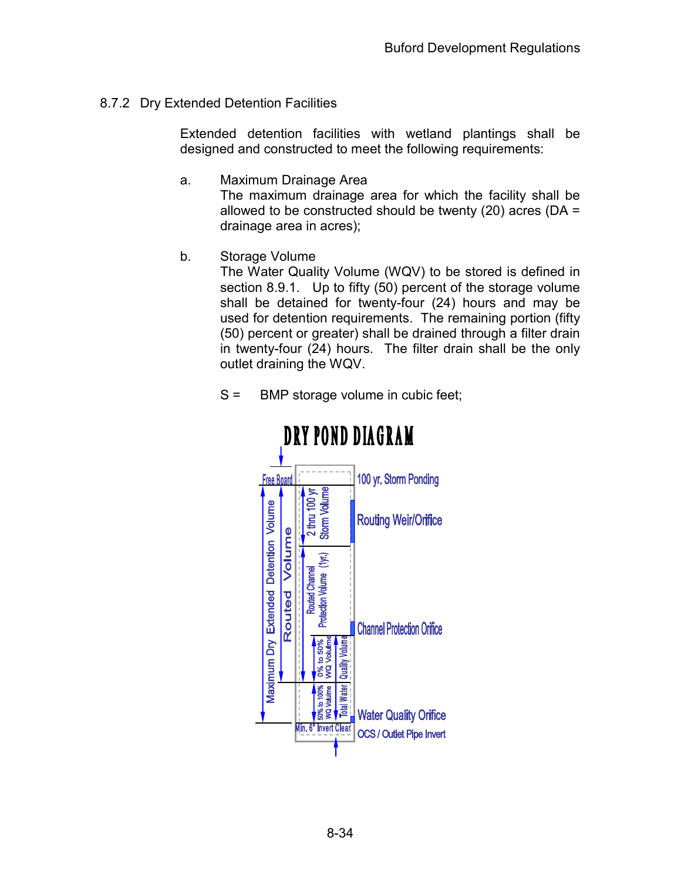## 8.7.2 Dry Extended Detention Facilities

Extended detention facilities with wetland plantings shall be designed and constructed to meet the following requirements:

- a. Maximum Drainage Area The maximum drainage area for which the facility shall be allowed to be constructed should be twenty (20) acres (DA = drainage area in acres);
- b. Storage Volume

The Water Quality Volume (WQV) to be stored is defined in section 8.9.1. Up to fifty (50) percent of the storage volume shall be detained for twenty-four (24) hours and may be used for detention requirements. The remaining portion (fifty (50) percent or greater) shall be drained through a filter drain in twenty-four (24) hours. The filter drain shall be the only outlet draining the WQV.



## S = BMP storage volume in cubic feet;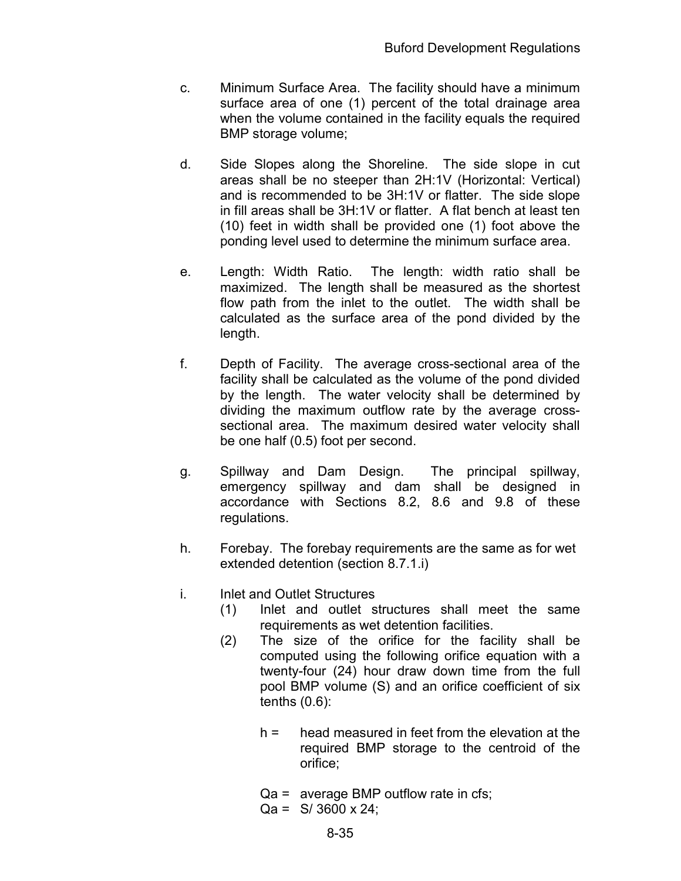- c. Minimum Surface Area. The facility should have a minimum surface area of one (1) percent of the total drainage area when the volume contained in the facility equals the required BMP storage volume;
- d. Side Slopes along the Shoreline. The side slope in cut areas shall be no steeper than 2H:1V (Horizontal: Vertical) and is recommended to be 3H:1V or flatter. The side slope in fill areas shall be 3H:1V or flatter. A flat bench at least ten (10) feet in width shall be provided one (1) foot above the ponding level used to determine the minimum surface area.
- e. Length: Width Ratio. The length: width ratio shall be maximized. The length shall be measured as the shortest flow path from the inlet to the outlet. The width shall be calculated as the surface area of the pond divided by the length.
- f. Depth of Facility. The average cross-sectional area of the facility shall be calculated as the volume of the pond divided by the length. The water velocity shall be determined by dividing the maximum outflow rate by the average crosssectional area. The maximum desired water velocity shall be one half (0.5) foot per second.
- g. Spillway and Dam Design. The principal spillway, emergency spillway and dam shall be designed in accordance with Sections 8.2, 8.6 and 9.8 of these regulations.
- h. Forebay. The forebay requirements are the same as for wet extended detention (section 8.7.1.i)
- i. Inlet and Outlet Structures
	- (1) Inlet and outlet structures shall meet the same requirements as wet detention facilities.
	- (2) The size of the orifice for the facility shall be computed using the following orifice equation with a twenty-four (24) hour draw down time from the full pool BMP volume (S) and an orifice coefficient of six tenths (0.6):
		- $h =$  head measured in feet from the elevation at the required BMP storage to the centroid of the orifice;
		- Qa = average BMP outflow rate in cfs;
		- $Qa = S/ 3600 \times 24$ ;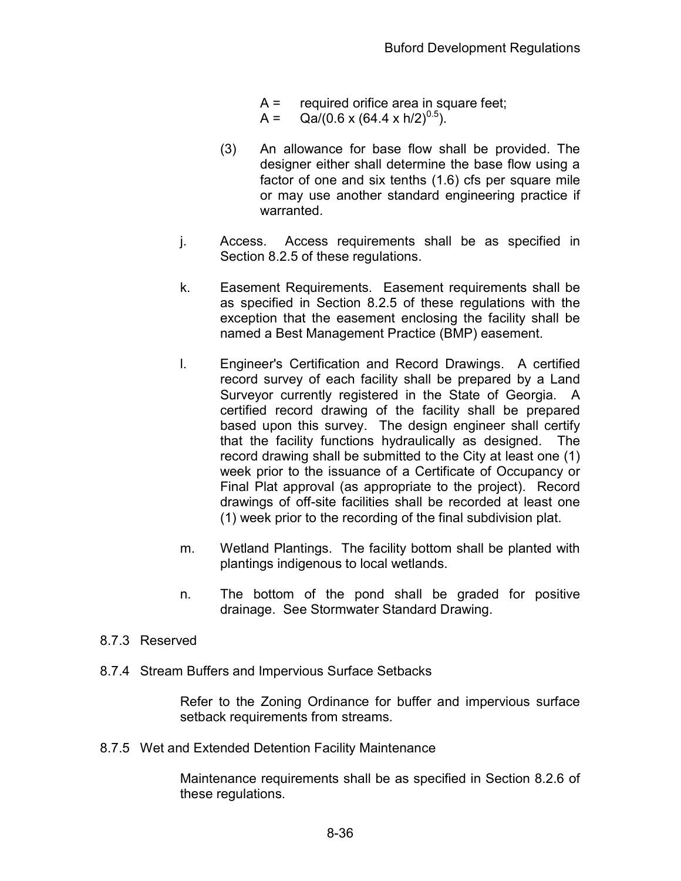- $A =$  required orifice area in square feet;
- A =  $Qa/(0.6 \times (64.4 \times h/2)^{0.5})$ .
- (3) An allowance for base flow shall be provided. The designer either shall determine the base flow using a factor of one and six tenths (1.6) cfs per square mile or may use another standard engineering practice if warranted.
- j. Access. Access requirements shall be as specified in Section 8.2.5 of these regulations.
- k. Easement Requirements. Easement requirements shall be as specified in Section 8.2.5 of these regulations with the exception that the easement enclosing the facility shall be named a Best Management Practice (BMP) easement.
- l. Engineer's Certification and Record Drawings. A certified record survey of each facility shall be prepared by a Land Surveyor currently registered in the State of Georgia. A certified record drawing of the facility shall be prepared based upon this survey. The design engineer shall certify that the facility functions hydraulically as designed. The record drawing shall be submitted to the City at least one (1) week prior to the issuance of a Certificate of Occupancy or Final Plat approval (as appropriate to the project). Record drawings of off-site facilities shall be recorded at least one (1) week prior to the recording of the final subdivision plat.
- m. Wetland Plantings. The facility bottom shall be planted with plantings indigenous to local wetlands.
- n. The bottom of the pond shall be graded for positive drainage. See Stormwater Standard Drawing.

#### 8.7.3 Reserved

8.7.4 Stream Buffers and Impervious Surface Setbacks

Refer to the Zoning Ordinance for buffer and impervious surface setback requirements from streams.

8.7.5 Wet and Extended Detention Facility Maintenance

Maintenance requirements shall be as specified in Section 8.2.6 of these regulations.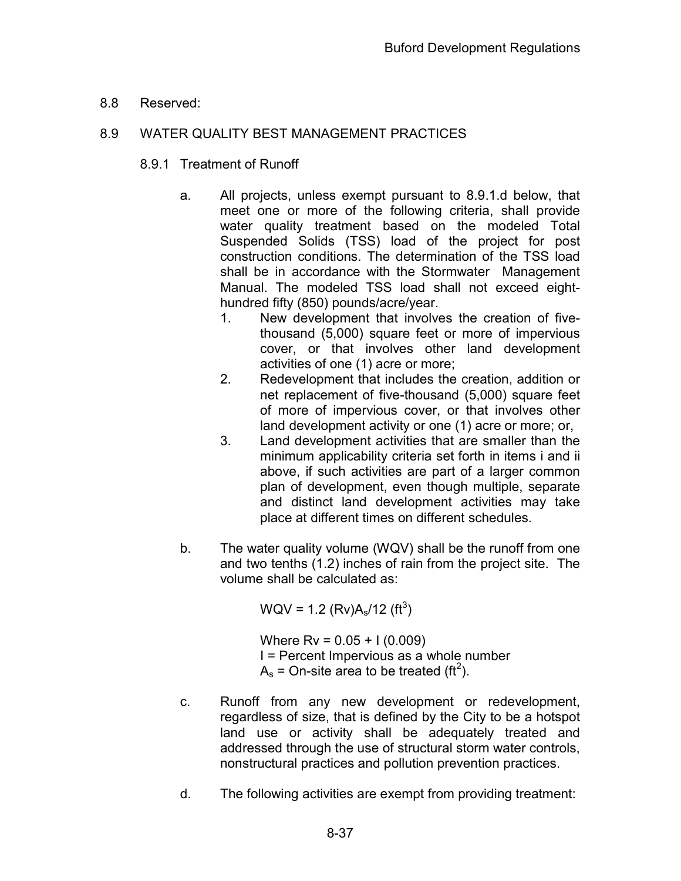8.8 Reserved:

# 8.9 WATER QUALITY BEST MANAGEMENT PRACTICES

- 8.9.1 Treatment of Runoff
	- a. All projects, unless exempt pursuant to 8.9.1.d below, that meet one or more of the following criteria, shall provide water quality treatment based on the modeled Total Suspended Solids (TSS) load of the project for post construction conditions. The determination of the TSS load shall be in accordance with the Stormwater Management Manual. The modeled TSS load shall not exceed eighthundred fifty (850) pounds/acre/year.
		- 1. New development that involves the creation of fivethousand (5,000) square feet or more of impervious cover, or that involves other land development activities of one (1) acre or more;
		- 2. Redevelopment that includes the creation, addition or net replacement of five-thousand (5,000) square feet of more of impervious cover, or that involves other land development activity or one (1) acre or more; or,
		- 3. Land development activities that are smaller than the minimum applicability criteria set forth in items i and ii above, if such activities are part of a larger common plan of development, even though multiple, separate and distinct land development activities may take place at different times on different schedules.
	- b. The water quality volume (WQV) shall be the runoff from one and two tenths (1.2) inches of rain from the project site. The volume shall be calculated as:

 $WQV = 1.2 (Rv)A<sub>s</sub>/12 (ft<sup>3</sup>)$ 

Where  $Rv = 0.05 + 1(0.009)$  I = Percent Impervious as a whole number  $A_s$  = On-site area to be treated (ft<sup>2</sup>).

- c. Runoff from any new development or redevelopment, regardless of size, that is defined by the City to be a hotspot land use or activity shall be adequately treated and addressed through the use of structural storm water controls, nonstructural practices and pollution prevention practices.
- d. The following activities are exempt from providing treatment: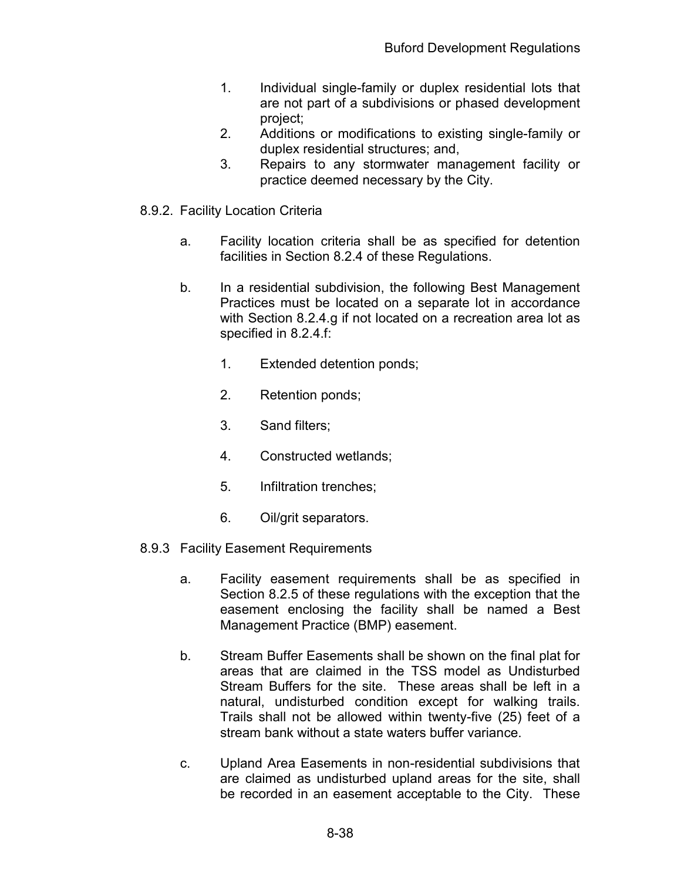- 1. Individual single-family or duplex residential lots that are not part of a subdivisions or phased development project;
- 2. Additions or modifications to existing single-family or duplex residential structures; and,
- 3. Repairs to any stormwater management facility or practice deemed necessary by the City.
- 8.9.2. Facility Location Criteria
	- a. Facility location criteria shall be as specified for detention facilities in Section 8.2.4 of these Regulations.
	- b. In a residential subdivision, the following Best Management Practices must be located on a separate lot in accordance with Section 8.2.4.g if not located on a recreation area lot as specified in 8.2.4.f:
		- 1. Extended detention ponds;
		- 2. Retention ponds;
		- 3. Sand filters;
		- 4. Constructed wetlands;
		- 5. Infiltration trenches;
		- 6. Oil/grit separators.
- 8.9.3 Facility Easement Requirements
	- a. Facility easement requirements shall be as specified in Section 8.2.5 of these regulations with the exception that the easement enclosing the facility shall be named a Best Management Practice (BMP) easement.
	- b. Stream Buffer Easements shall be shown on the final plat for areas that are claimed in the TSS model as Undisturbed Stream Buffers for the site. These areas shall be left in a natural, undisturbed condition except for walking trails. Trails shall not be allowed within twenty-five (25) feet of a stream bank without a state waters buffer variance.
	- c. Upland Area Easements in non-residential subdivisions that are claimed as undisturbed upland areas for the site, shall be recorded in an easement acceptable to the City. These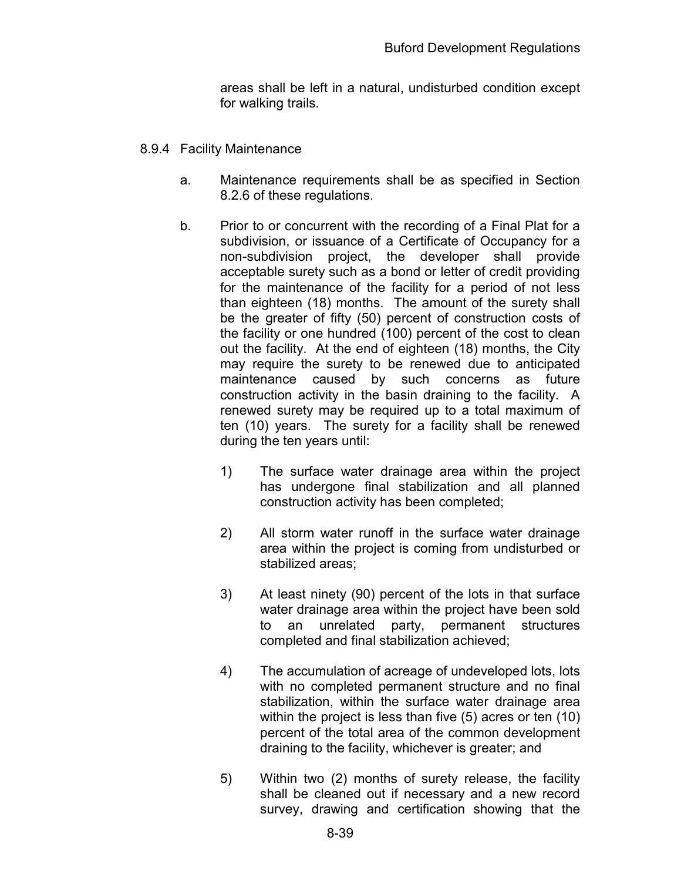areas shall be left in a natural, undisturbed condition except for walking trails.

- 8.9.4 Facility Maintenance
	- a. Maintenance requirements shall be as specified in Section 8.2.6 of these regulations.
	- b. Prior to or concurrent with the recording of a Final Plat for a subdivision, or issuance of a Certificate of Occupancy for a non-subdivision project, the developer shall provide acceptable surety such as a bond or letter of credit providing for the maintenance of the facility for a period of not less than eighteen (18) months. The amount of the surety shall be the greater of fifty (50) percent of construction costs of the facility or one hundred (100) percent of the cost to clean out the facility. At the end of eighteen (18) months, the City may require the surety to be renewed due to anticipated maintenance caused by such concerns as future construction activity in the basin draining to the facility. A renewed surety may be required up to a total maximum of ten (10) years. The surety for a facility shall be renewed during the ten years until:
		- 1) The surface water drainage area within the project has undergone final stabilization and all planned construction activity has been completed;
		- 2) All storm water runoff in the surface water drainage area within the project is coming from undisturbed or stabilized areas;
		- 3) At least ninety (90) percent of the lots in that surface water drainage area within the project have been sold to an unrelated party, permanent structures completed and final stabilization achieved;
		- 4) The accumulation of acreage of undeveloped lots, lots with no completed permanent structure and no final stabilization, within the surface water drainage area within the project is less than five (5) acres or ten (10) percent of the total area of the common development draining to the facility, whichever is greater; and
		- 5) Within two (2) months of surety release, the facility shall be cleaned out if necessary and a new record survey, drawing and certification showing that the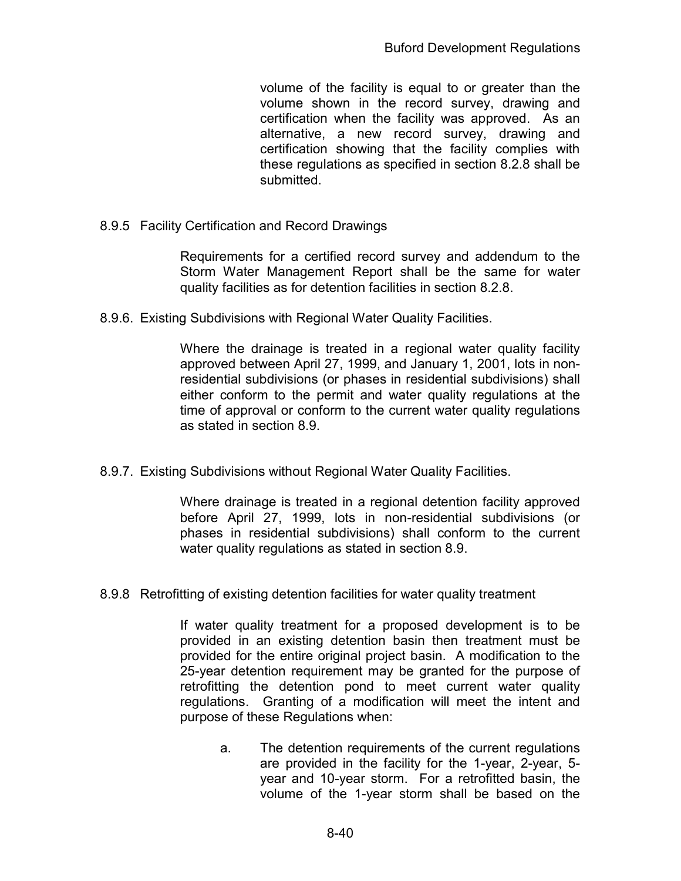volume of the facility is equal to or greater than the volume shown in the record survey, drawing and certification when the facility was approved. As an alternative, a new record survey, drawing and certification showing that the facility complies with these regulations as specified in section 8.2.8 shall be submitted.

8.9.5 Facility Certification and Record Drawings

Requirements for a certified record survey and addendum to the Storm Water Management Report shall be the same for water quality facilities as for detention facilities in section 8.2.8.

8.9.6. Existing Subdivisions with Regional Water Quality Facilities.

Where the drainage is treated in a regional water quality facility approved between April 27, 1999, and January 1, 2001, lots in nonresidential subdivisions (or phases in residential subdivisions) shall either conform to the permit and water quality regulations at the time of approval or conform to the current water quality regulations as stated in section 8.9.

8.9.7. Existing Subdivisions without Regional Water Quality Facilities.

Where drainage is treated in a regional detention facility approved before April 27, 1999, lots in non-residential subdivisions (or phases in residential subdivisions) shall conform to the current water quality regulations as stated in section 8.9.

8.9.8 Retrofitting of existing detention facilities for water quality treatment

If water quality treatment for a proposed development is to be provided in an existing detention basin then treatment must be provided for the entire original project basin. A modification to the 25-year detention requirement may be granted for the purpose of retrofitting the detention pond to meet current water quality regulations. Granting of a modification will meet the intent and purpose of these Regulations when:

a. The detention requirements of the current regulations are provided in the facility for the 1-year, 2-year, 5 year and 10-year storm. For a retrofitted basin, the volume of the 1-year storm shall be based on the